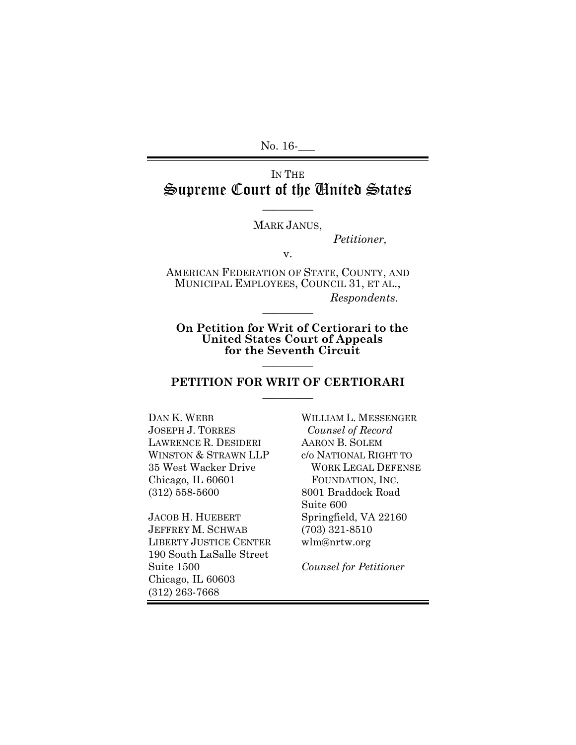No. 16-

# IN THE Supreme Court of the United States

#### MARK JANUS,

 $\overline{\phantom{a}}$ 

*Petitioner,*

v.

AMERICAN FEDERATION OF STATE, COUNTY, AND MUNICIPAL EMPLOYEES, COUNCIL 31, ET AL., *Respondents.*  $\overline{\phantom{a}}$ 

**On Petition for Writ of Certiorari to the United States Court of Appeals for the Seventh Circuit**  $\frac{1}{2}$ 

#### **PETITION FOR WRIT OF CERTIORARI**  $\overline{\phantom{a}}$

DAN K. WEBB JOSEPH J. TORRES LAWRENCE R. DESIDERI WINSTON & STRAWN LLP 35 West Wacker Drive Chicago, IL 60601 (312) 558-5600

JACOB H. HUEBERT JEFFREY M. SCHWAB LIBERTY JUSTICE CENTER 190 South LaSalle Street Suite 1500 Chicago, IL 60603 (312) 263-7668

WILLIAM L. MESSENGER *Counsel of Record* AARON B. SOLEM c/o NATIONAL RIGHT TO WORK LEGAL DEFENSE FOUNDATION, INC. 8001 Braddock Road Suite 600 Springfield, VA 22160 (703) 321-8510 wlm@nrtw.org

*Counsel for Petitioner*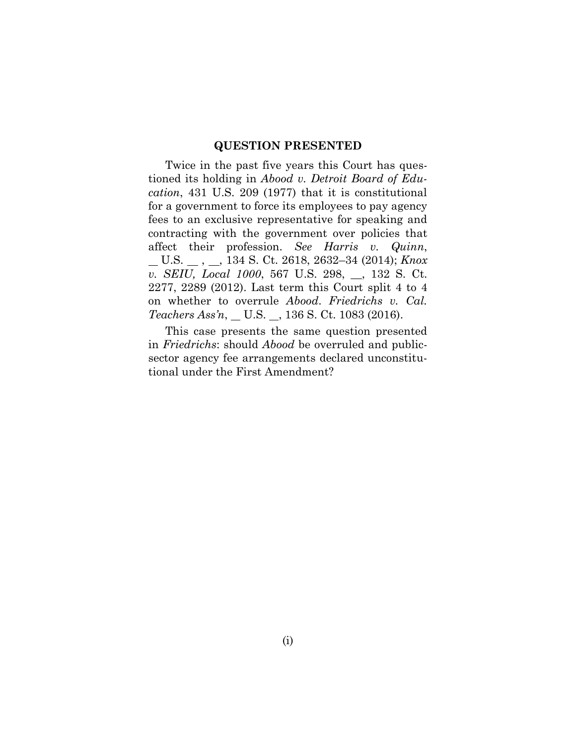#### **QUESTION PRESENTED**

Twice in the past five years this Court has questioned its holding in *Abood v. Detroit Board of Education*, 431 U.S. 209 (1977) that it is constitutional for a government to force its employees to pay agency fees to an exclusive representative for speaking and contracting with the government over policies that affect their profession. *See Harris v. Quinn*, U.S. , , 134 S. Ct. 2618, 2632–34 (2014); *Knox v. SEIU, Local 1000*, 567 U.S. 298, \_\_, 132 S. Ct. 2277, 2289 (2012). Last term this Court split 4 to 4 on whether to overrule *Abood*. *Friedrichs v. Cal. Teachers Ass'n*, \_ U.S. \_, 136 S. Ct. 1083 (2016).

This case presents the same question presented in *Friedrichs*: should *Abood* be overruled and publicsector agency fee arrangements declared unconstitutional under the First Amendment?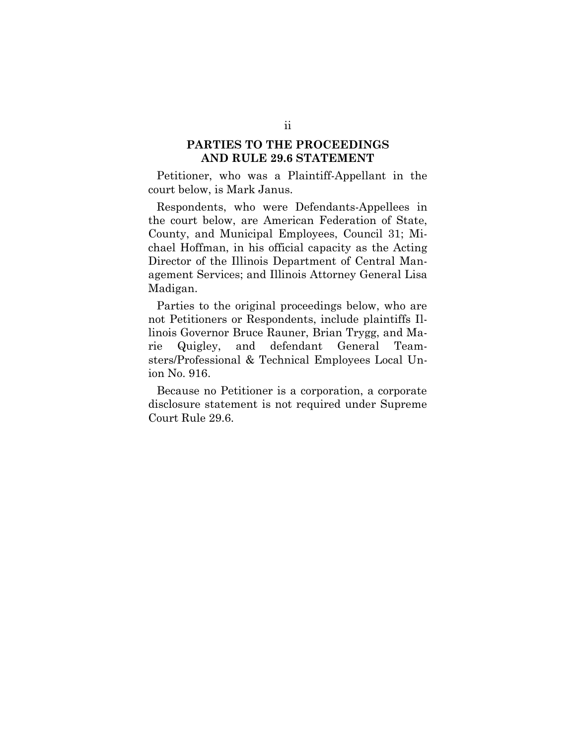### **PARTIES TO THE PROCEEDINGS AND RULE 29.6 STATEMENT**

Petitioner, who was a Plaintiff-Appellant in the court below, is Mark Janus.

Respondents, who were Defendants-Appellees in the court below, are American Federation of State, County, and Municipal Employees, Council 31; Michael Hoffman, in his official capacity as the Acting Director of the Illinois Department of Central Management Services; and Illinois Attorney General Lisa Madigan.

Parties to the original proceedings below, who are not Petitioners or Respondents, include plaintiffs Illinois Governor Bruce Rauner, Brian Trygg, and Marie Quigley, and defendant General Teamsters/Professional & Technical Employees Local Union No. 916.

Because no Petitioner is a corporation, a corporate disclosure statement is not required under Supreme Court Rule 29.6.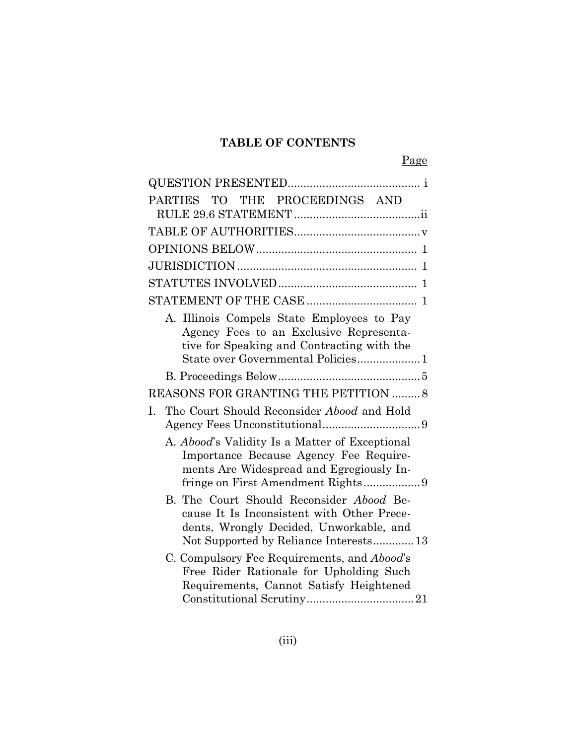# **TABLE OF CONTENTS**

Page

| PARTIES TO THE PROCEEDINGS AND                                                                                                                                             |
|----------------------------------------------------------------------------------------------------------------------------------------------------------------------------|
|                                                                                                                                                                            |
|                                                                                                                                                                            |
|                                                                                                                                                                            |
|                                                                                                                                                                            |
|                                                                                                                                                                            |
| A. Illinois Compels State Employees to Pay<br>Agency Fees to an Exclusive Representa-<br>tive for Speaking and Contracting with the<br>State over Governmental Policies1   |
|                                                                                                                                                                            |
| REASONS FOR GRANTING THE PETITION  8                                                                                                                                       |
| The Court Should Reconsider Abood and Hold<br>$\mathbf{L}$                                                                                                                 |
| A. Abood's Validity Is a Matter of Exceptional<br>Importance Because Agency Fee Require-<br>ments Are Widespread and Egregiously In-                                       |
| B. The Court Should Reconsider Abood Be-<br>cause It Is Inconsistent with Other Prece-<br>dents, Wrongly Decided, Unworkable, and<br>Not Supported by Reliance Interests13 |
| C. Compulsory Fee Requirements, and Abood's<br>Free Rider Rationale for Upholding Such<br>Requirements, Cannot Satisfy Heightened                                          |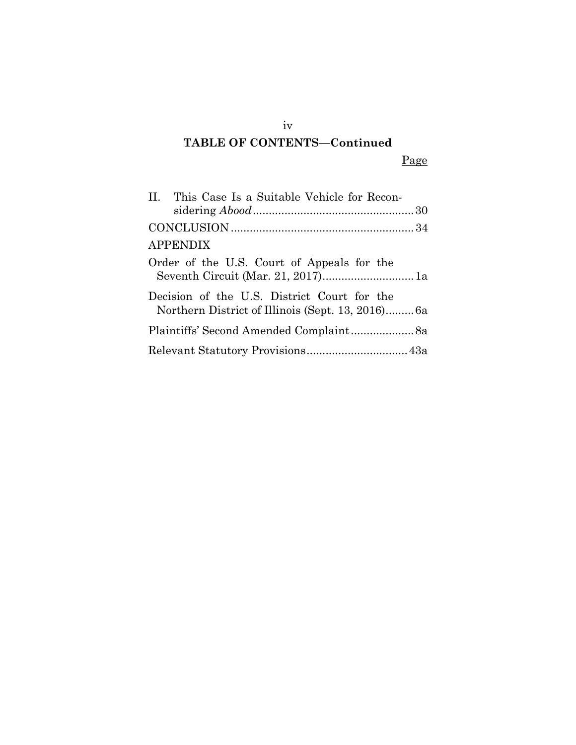# iv **TABLE OF CONTENTS—Continued**

Page

| II. This Case Is a Suitable Vehicle for Recon-                                                  |
|-------------------------------------------------------------------------------------------------|
|                                                                                                 |
| <b>APPENDIX</b>                                                                                 |
| Order of the U.S. Court of Appeals for the                                                      |
| Decision of the U.S. District Court for the<br>Northern District of Illinois (Sept. 13, 2016)6a |
| Plaintiffs' Second Amended Complaint 8a                                                         |
|                                                                                                 |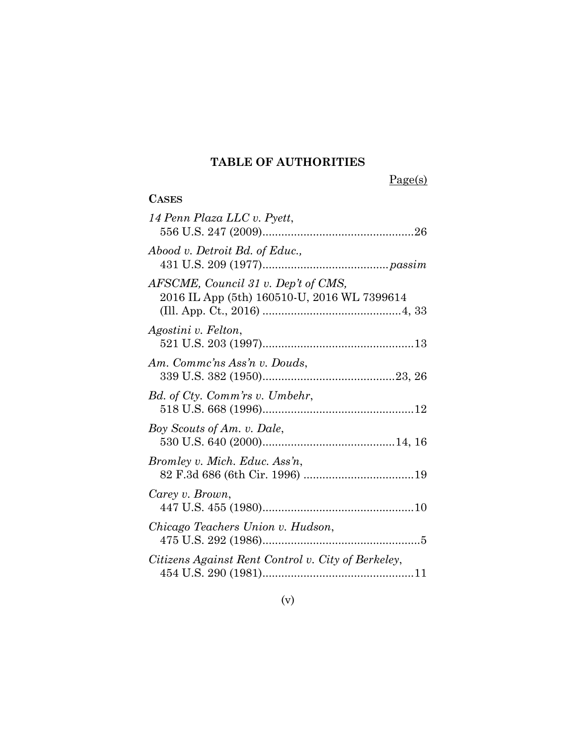## **TABLE OF AUTHORITIES**

Page(s)

| <b>CASES</b>                                                                       |
|------------------------------------------------------------------------------------|
| 14 Penn Plaza LLC v. Pyett,                                                        |
| Abood v. Detroit Bd. of Educ.,                                                     |
| AFSCME, Council 31 v. Dep't of CMS,<br>2016 IL App (5th) 160510-U, 2016 WL 7399614 |
| Agostini v. Felton,                                                                |
| Am. Commc'ns Ass'n v. Douds,                                                       |
| Bd. of Cty. Comm'rs v. Umbehr,                                                     |
| Boy Scouts of Am. v. Dale,                                                         |
| Bromley v. Mich. Educ. Ass'n,                                                      |
| Carey v. Brown,                                                                    |
| Chicago Teachers Union v. Hudson,                                                  |
| Citizens Against Rent Control v. City of Berkeley,                                 |

(v)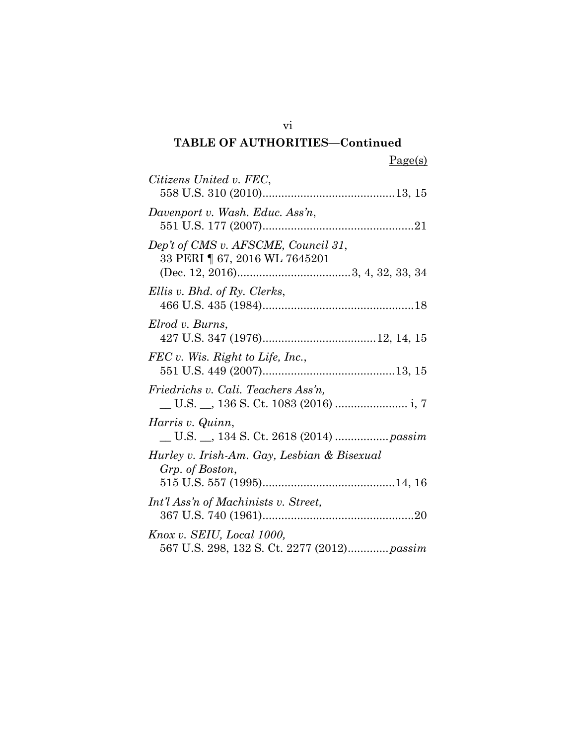| Citizens United v. FEC,                                                  |
|--------------------------------------------------------------------------|
| Davenport v. Wash. Educ. Ass'n,                                          |
| Dep't of CMS v. AFSCME, Council 31,<br>33 PERI   67, 2016 WL 7645201     |
| Ellis v. Bhd. of Ry. Clerks,                                             |
| Elrod v. Burns,                                                          |
| $FEC$ v. Wis. Right to Life, Inc.,                                       |
| Friedrichs v. Cali. Teachers Ass'n.                                      |
| Harris v. Quinn,                                                         |
| Hurley v. Irish-Am. Gay, Lesbian & Bisexual<br>Grp. of Boston,           |
| Int'l Ass'n of Machinists v. Street,                                     |
| Knox v. SEIU, Local 1000,<br>567 U.S. 298, 132 S. Ct. 2277 (2012) passim |

vi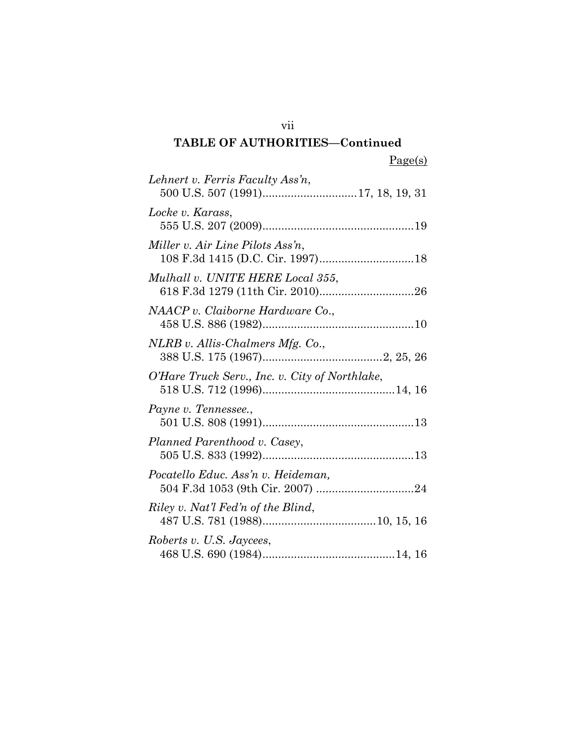| Lehnert v. Ferris Faculty Ass'n,               |
|------------------------------------------------|
|                                                |
| Locke v. Karass,                               |
|                                                |
| Miller v. Air Line Pilots Ass'n,               |
|                                                |
| Mulhall v. UNITE HERE Local 355,               |
|                                                |
| NAACP v. Claiborne Hardware Co.,               |
|                                                |
| NLRB v. Allis-Chalmers Mfg. Co.,               |
|                                                |
| O'Hare Truck Serv., Inc. v. City of Northlake, |
|                                                |
| Payne v. Tennessee.,                           |
|                                                |
| Planned Parenthood v. Casey,                   |
|                                                |
| Pocatello Educ. Ass'n v. Heideman,             |
|                                                |
| Riley v. Nat'l Fed'n of the Blind,             |
|                                                |
| Roberts v. U.S. Jaycees,                       |
|                                                |

vii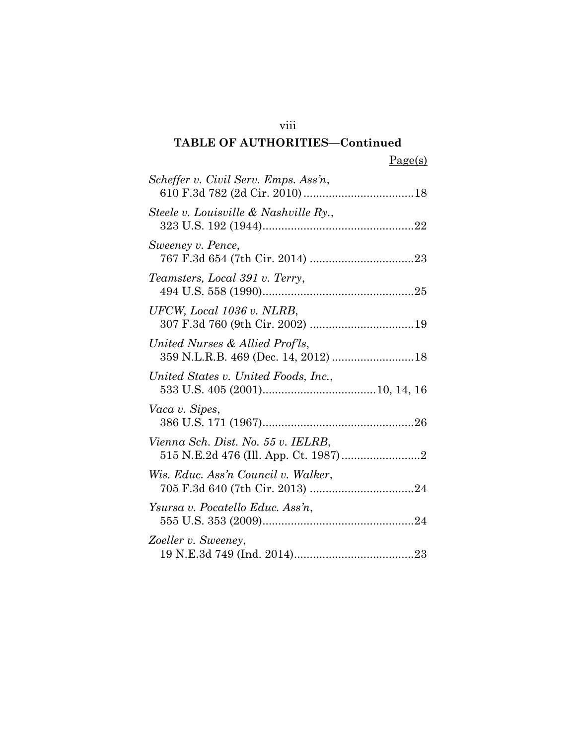| Scheffer v. Civil Serv. Emps. Ass'n,                                   |  |
|------------------------------------------------------------------------|--|
| Steele v. Louisville & Nashville Ry.,                                  |  |
| Sweeney v. Pence,                                                      |  |
| Teamsters, Local 391 v. Terry,                                         |  |
| UFCW, Local 1036 v. NLRB,                                              |  |
| United Nurses & Allied Prof'ls,<br>359 N.L.R.B. 469 (Dec. 14, 2012) 18 |  |
| United States v. United Foods, Inc.,                                   |  |
| Vaca v. Sipes,                                                         |  |
| Vienna Sch. Dist. No. 55 v. IELRB,                                     |  |
| Wis. Educ. Ass'n Council v. Walker,                                    |  |
| Ysursa v. Pocatello Educ. Ass'n,                                       |  |
| Zoeller v. Sweeney,                                                    |  |

viii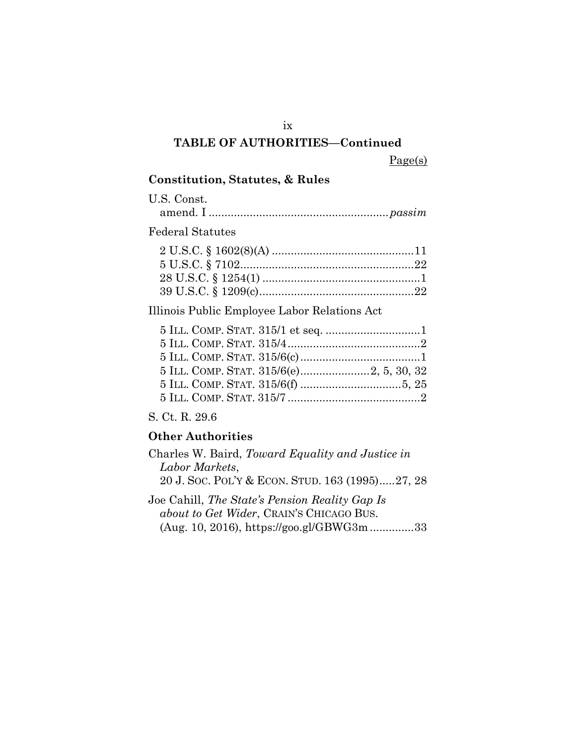### ix

### **TABLE OF AUTHORITIES—Continued**

Page(s)

### **Constitution, Statutes, & Rules**

U.S. Const. amend. I .........................................................*passim*

### Federal Statutes

Illinois Public Employee Labor Relations Act

### S. Ct. R. 29.6

### **Other Authorities**

| Charles W. Baird, Toward Equality and Justice in |
|--------------------------------------------------|
| Labor Markets,                                   |
| 20 J. Soc. Pol'y & ECON. STUD. 163 (1995)27, 28  |
|                                                  |

Joe Cahill, *The State's Pension Reality Gap Is about to Get Wider*, CRAIN'S CHICAGO BUS. (Aug. 10, 2016), https://goo.gl/GBWG3m..............33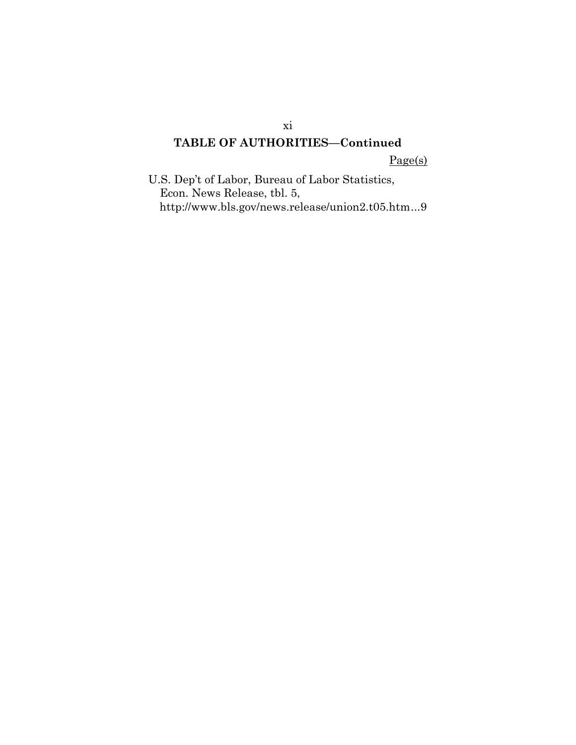Page(s)

U.S. Dep't of Labor, Bureau of Labor Statistics, Econ. News Release, tbl. 5, http://www.bls.gov/news.release/union2.t05.htm...9

xi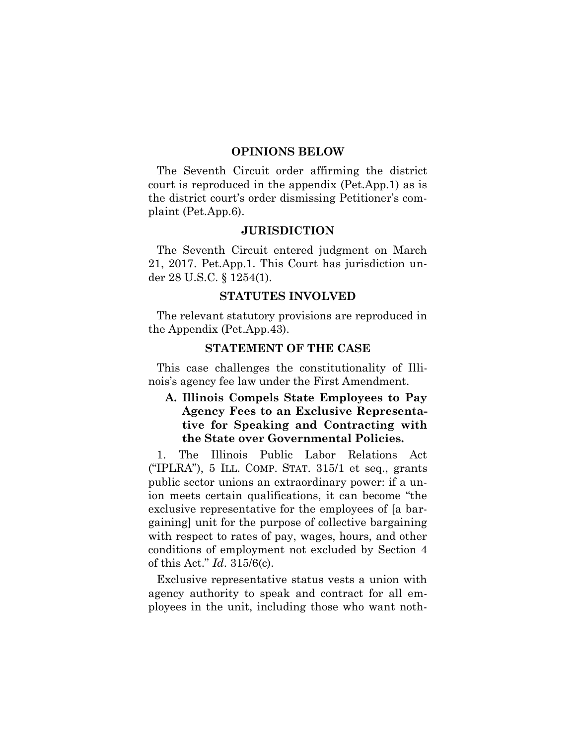#### **OPINIONS BELOW**

The Seventh Circuit order affirming the district court is reproduced in the appendix (Pet.App.1) as is the district court's order dismissing Petitioner's complaint (Pet.App.6).

#### **JURISDICTION**

The Seventh Circuit entered judgment on March 21, 2017. Pet.App.1. This Court has jurisdiction under 28 U.S.C. § 1254(1).

#### **STATUTES INVOLVED**

The relevant statutory provisions are reproduced in the Appendix (Pet.App.43).

#### **STATEMENT OF THE CASE**

This case challenges the constitutionality of Illinois's agency fee law under the First Amendment.

### **A. Illinois Compels State Employees to Pay Agency Fees to an Exclusive Representative for Speaking and Contracting with the State over Governmental Policies.**

1. The Illinois Public Labor Relations Act ("IPLRA"),  $5$  ILL. COMP. STAT.  $315/1$  et seq., grants public sector unions an extraordinary power: if a union meets certain qualifications, it can become "the exclusive representative for the employees of [a bargaining] unit for the purpose of collective bargaining with respect to rates of pay, wages, hours, and other conditions of employment not excluded by Section 4 of this Act." *Id*. 315/6(c).

Exclusive representative status vests a union with agency authority to speak and contract for all employees in the unit, including those who want noth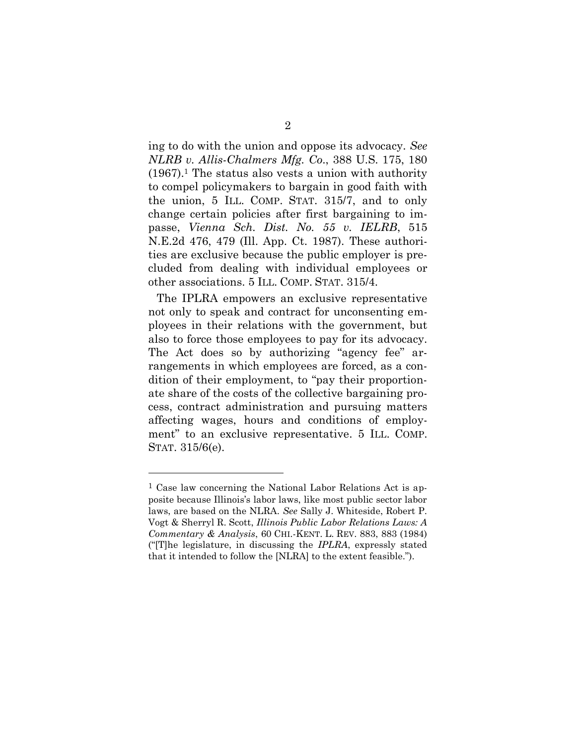ing to do with the union and oppose its advocacy. *See NLRB v. Allis-Chalmers Mfg. Co*., 388 U.S. 175, 180 (1967). <sup>1</sup> The status also vests a union with authority to compel policymakers to bargain in good faith with the union, 5 ILL. COMP. STAT. 315/7, and to only change certain policies after first bargaining to impasse, *Vienna Sch. Dist. No. 55 v. IELRB*, 515 N.E.2d 476, 479 (Ill. App. Ct. 1987). These authorities are exclusive because the public employer is precluded from dealing with individual employees or other associations. 5 ILL. COMP. STAT. 315/4.

The IPLRA empowers an exclusive representative not only to speak and contract for unconsenting employees in their relations with the government, but also to force those employees to pay for its advocacy. The Act does so by authorizing "agency fee" arrangements in which employees are forced, as a condition of their employment, to "pay their proportionate share of the costs of the collective bargaining process, contract administration and pursuing matters affecting wages, hours and conditions of employment" to an exclusive representative. 5 ILL. COMP. STAT. 315/6(e).

l

<sup>1</sup> Case law concerning the National Labor Relations Act is apposite because Illinois's labor laws, like most public sector labor laws, are based on the NLRA. *See* Sally J. Whiteside, Robert P. Vogt & Sherryl R. Scott, *Illinois Public Labor Relations Laws: A Commentary & Analysis*, 60 CHI.-KENT. L. REV. 883, 883 (1984) ("[T]he legislature, in discussing the *IPLRA*, expressly stated that it intended to follow the [NLRA] to the extent feasible.").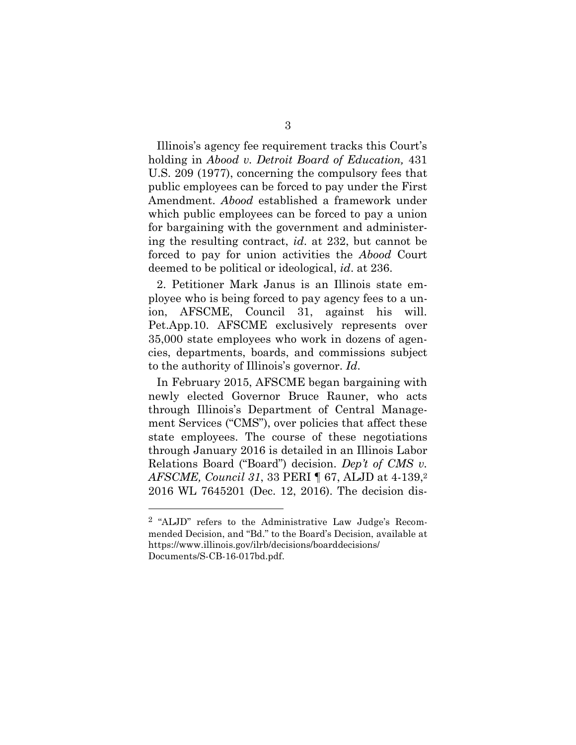Illinois's agency fee requirement tracks this Court's holding in *Abood v. Detroit Board of Education,* 431 U.S. 209 (1977), concerning the compulsory fees that public employees can be forced to pay under the First Amendment. *Abood* established a framework under which public employees can be forced to pay a union for bargaining with the government and administering the resulting contract, *id*. at 232, but cannot be forced to pay for union activities the *Abood* Court deemed to be political or ideological, *id*. at 236.

2. Petitioner Mark Janus is an Illinois state employee who is being forced to pay agency fees to a union, AFSCME, Council 31, against his will. Pet.App.10. AFSCME exclusively represents over 35,000 state employees who work in dozens of agencies, departments, boards, and commissions subject to the authority of Illinois's governor. *Id*.

In February 2015, AFSCME began bargaining with newly elected Governor Bruce Rauner, who acts through Illinois's Department of Central Management Services ("CMS"), over policies that affect these state employees. The course of these negotiations through January 2016 is detailed in an Illinois Labor Relations Board ("Board") decision. *Dep't of CMS v. AFSCME, Council 31*, 33 PERI ¶ 67, ALJD at 4-139, 2 2016 WL 7645201 (Dec. 12, 2016). The decision dis-

<sup>2</sup> "ALJD" refers to the Administrative Law Judge's Recommended Decision, and "Bd." to the Board's Decision, available at https://www.illinois.gov/ilrb/decisions/boarddecisions/ Documents/S-CB-16-017bd.pdf.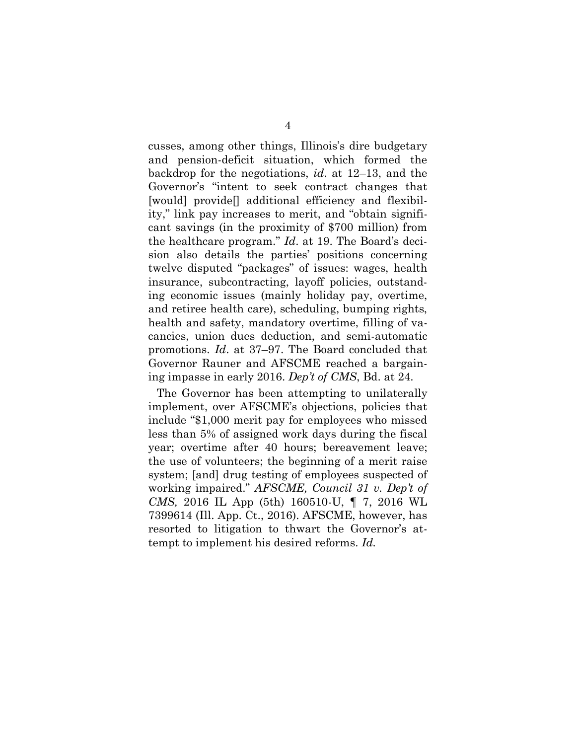cusses, among other things, Illinois's dire budgetary and pension-deficit situation, which formed the backdrop for the negotiations, *id*. at 12–13, and the Governor's "intent to seek contract changes that [would] provide[] additional efficiency and flexibility," link pay increases to merit, and "obtain significant savings (in the proximity of \$700 million) from the healthcare program." *Id*. at 19. The Board's decision also details the parties' positions concerning twelve disputed "packages" of issues: wages, health insurance, subcontracting, layoff policies, outstanding economic issues (mainly holiday pay, overtime, and retiree health care), scheduling, bumping rights, health and safety, mandatory overtime, filling of vacancies, union dues deduction, and semi-automatic promotions. *Id*. at 37–97. The Board concluded that Governor Rauner and AFSCME reached a bargaining impasse in early 2016. *Dep't of CMS*, Bd. at 24.

The Governor has been attempting to unilaterally implement, over AFSCME's objections, policies that include "\$1,000 merit pay for employees who missed less than 5% of assigned work days during the fiscal year; overtime after 40 hours; bereavement leave; the use of volunteers; the beginning of a merit raise system; [and] drug testing of employees suspected of working impaired." *AFSCME, Council 31 v. Dep't of CMS,* 2016 IL App (5th) 160510-U, ¶ 7, 2016 WL 7399614 (Ill. App. Ct., 2016). AFSCME, however, has resorted to litigation to thwart the Governor's attempt to implement his desired reforms. *Id.*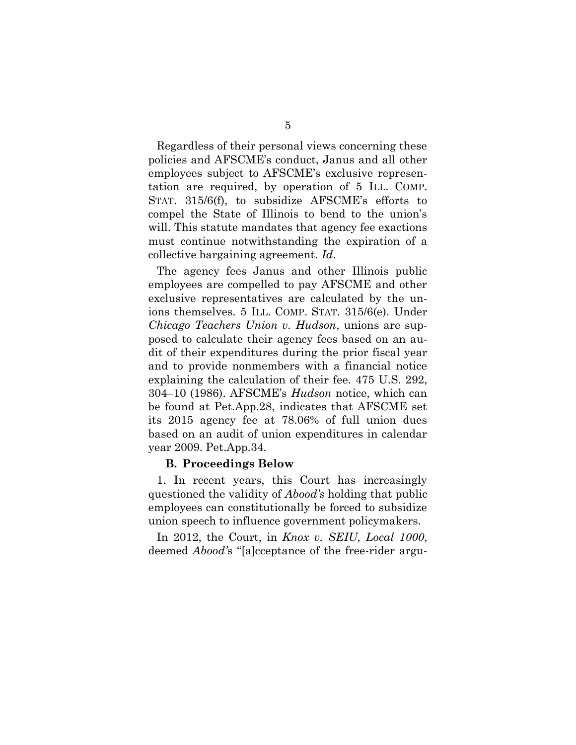Regardless of their personal views concerning these policies and AFSCME's conduct, Janus and all other employees subject to AFSCME's exclusive representation are required, by operation of 5 ILL. COMP. STAT. 315/6(f), to subsidize AFSCME's efforts to compel the State of Illinois to bend to the union's will. This statute mandates that agency fee exactions must continue notwithstanding the expiration of a collective bargaining agreement. *Id*.

The agency fees Janus and other Illinois public employees are compelled to pay AFSCME and other exclusive representatives are calculated by the unions themselves. 5 ILL. COMP. STAT. 315/6(e). Under *Chicago Teachers Union v. Hudson*, unions are supposed to calculate their agency fees based on an audit of their expenditures during the prior fiscal year and to provide nonmembers with a financial notice explaining the calculation of their fee. 475 U.S. 292, 304–10 (1986). AFSCME's *Hudson* notice, which can be found at Pet.App.28, indicates that AFSCME set its 2015 agency fee at 78.06% of full union dues based on an audit of union expenditures in calendar year 2009. Pet.App.34.

#### **B. Proceedings Below**

1. In recent years, this Court has increasingly questioned the validity of *Abood's* holding that public employees can constitutionally be forced to subsidize union speech to influence government policymakers.

In 2012, the Court, in *Knox v. SEIU, Local 1000*, deemed *Abood'*s "[a]cceptance of the free-rider argu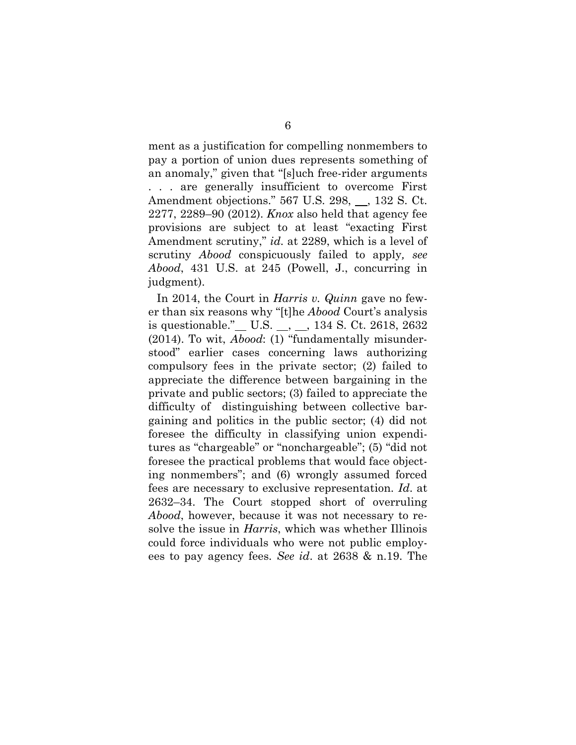ment as a justification for compelling nonmembers to pay a portion of union dues represents something of an anomaly," given that "[s]uch free-rider arguments . . . are generally insufficient to overcome First Amendment objections." 567 U.S. 298, 9, 132 S. Ct. 2277, 2289–90 (2012). *Knox* also held that agency fee provisions are subject to at least "exacting First Amendment scrutiny," *id.* at 2289, which is a level of scrutiny *Abood* conspicuously failed to apply*, see Abood*, 431 U.S. at 245 (Powell, J., concurring in judgment).

In 2014, the Court in *Harris v. Quinn* gave no fewer than six reasons why "[t]he *Abood* Court's analysis is questionable." U.S.  $\_,$  134 S. Ct. 2618, 2632 (2014). To wit, *Abood*: (1) "fundamentally misunderstood" earlier cases concerning laws authorizing compulsory fees in the private sector; (2) failed to appreciate the difference between bargaining in the private and public sectors; (3) failed to appreciate the difficulty of distinguishing between collective bargaining and politics in the public sector; (4) did not foresee the difficulty in classifying union expenditures as "chargeable" or "nonchargeable"; (5) "did not foresee the practical problems that would face objecting nonmembers"; and (6) wrongly assumed forced fees are necessary to exclusive representation. *Id*. at 2632–34. The Court stopped short of overruling *Abood*, however, because it was not necessary to resolve the issue in *Harris*, which was whether Illinois could force individuals who were not public employees to pay agency fees. *See id*. at 2638 & n.19. The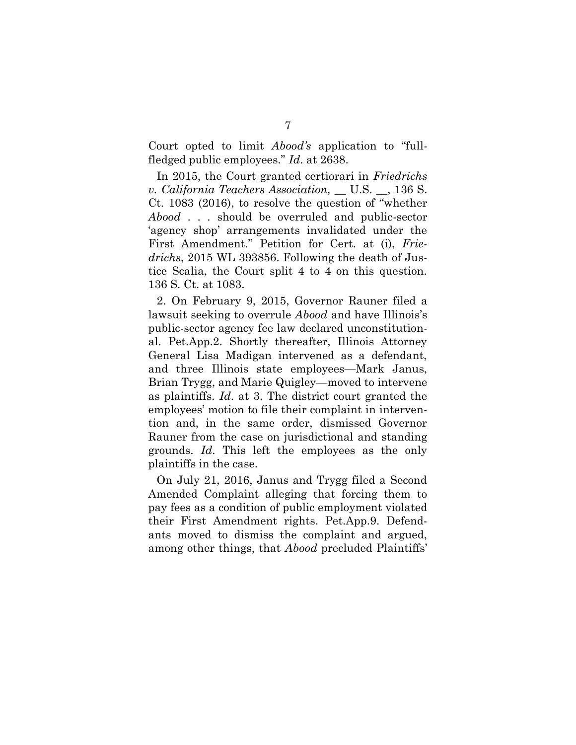Court opted to limit *Abood's* application to "fullfledged public employees." *Id*. at 2638.

In 2015, the Court granted certiorari in *Friedrichs v. California Teachers Association,* \_\_ U.S. \_\_, 136 S. Ct. 1083 (2016), to resolve the question of "whether *Abood* . . . should be overruled and public-sector 'agency shop' arrangements invalidated under the First Amendment." Petition for Cert. at (i), *Friedrichs*, 2015 WL 393856. Following the death of Justice Scalia, the Court split 4 to 4 on this question. 136 S. Ct. at 1083.

2. On February 9, 2015, Governor Rauner filed a lawsuit seeking to overrule *Abood* and have Illinois's public-sector agency fee law declared unconstitutional. Pet.App.2. Shortly thereafter, Illinois Attorney General Lisa Madigan intervened as a defendant, and three Illinois state employees—Mark Janus, Brian Trygg, and Marie Quigley—moved to intervene as plaintiffs. *Id*. at 3. The district court granted the employees' motion to file their complaint in intervention and, in the same order, dismissed Governor Rauner from the case on jurisdictional and standing grounds. *Id*. This left the employees as the only plaintiffs in the case.

On July 21, 2016, Janus and Trygg filed a Second Amended Complaint alleging that forcing them to pay fees as a condition of public employment violated their First Amendment rights. Pet.App.9. Defendants moved to dismiss the complaint and argued, among other things, that *Abood* precluded Plaintiffs'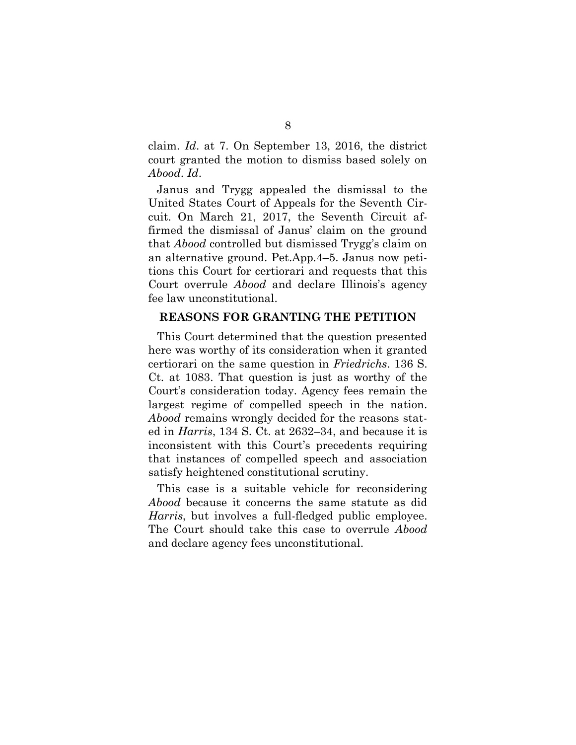claim. *Id*. at 7. On September 13, 2016, the district court granted the motion to dismiss based solely on *Abood*. *Id*.

Janus and Trygg appealed the dismissal to the United States Court of Appeals for the Seventh Circuit. On March 21, 2017, the Seventh Circuit affirmed the dismissal of Janus' claim on the ground that *Abood* controlled but dismissed Trygg's claim on an alternative ground. Pet.App.4–5. Janus now petitions this Court for certiorari and requests that this Court overrule *Abood* and declare Illinois's agency fee law unconstitutional.

### **REASONS FOR GRANTING THE PETITION**

This Court determined that the question presented here was worthy of its consideration when it granted certiorari on the same question in *Friedrichs*. 136 S. Ct. at 1083. That question is just as worthy of the Court's consideration today. Agency fees remain the largest regime of compelled speech in the nation. *Abood* remains wrongly decided for the reasons stated in *Harris*, 134 S. Ct. at 2632–34, and because it is inconsistent with this Court's precedents requiring that instances of compelled speech and association satisfy heightened constitutional scrutiny.

This case is a suitable vehicle for reconsidering *Abood* because it concerns the same statute as did *Harris*, but involves a full-fledged public employee. The Court should take this case to overrule *Abood* and declare agency fees unconstitutional.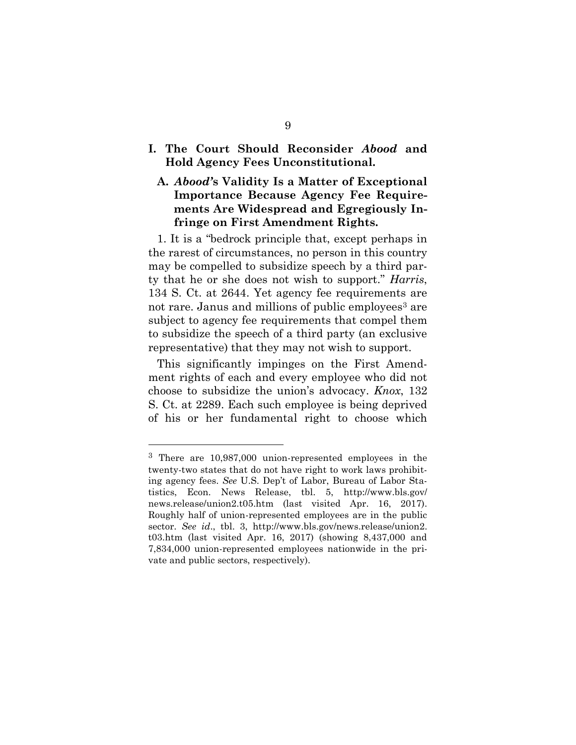**I. The Court Should Reconsider** *Abood* **and Hold Agency Fees Unconstitutional.**

### **A.** *Abood'***s Validity Is a Matter of Exceptional Importance Because Agency Fee Requirements Are Widespread and Egregiously Infringe on First Amendment Rights.**

1. It is a "bedrock principle that, except perhaps in the rarest of circumstances, no person in this country may be compelled to subsidize speech by a third party that he or she does not wish to support." *Harris*, 134 S. Ct. at 2644. Yet agency fee requirements are not rare. Janus and millions of public employees<sup>3</sup> are subject to agency fee requirements that compel them to subsidize the speech of a third party (an exclusive representative) that they may not wish to support.

This significantly impinges on the First Amendment rights of each and every employee who did not choose to subsidize the union's advocacy. *Knox*, 132 S. Ct. at 2289. Each such employee is being deprived of his or her fundamental right to choose which

l

<sup>3</sup> There are 10,987,000 union-represented employees in the twenty-two states that do not have right to work laws prohibiting agency fees. *See* U.S. Dep't of Labor, Bureau of Labor Statistics, Econ. News Release, tbl. 5, http://www.bls.gov/ news.release/union2.t05.htm (last visited Apr. 16, 2017). Roughly half of union-represented employees are in the public sector. *See id*., tbl. 3, http://www.bls.gov/news.release/union2. t03.htm (last visited Apr. 16, 2017) (showing 8,437,000 and 7,834,000 union-represented employees nationwide in the private and public sectors, respectively).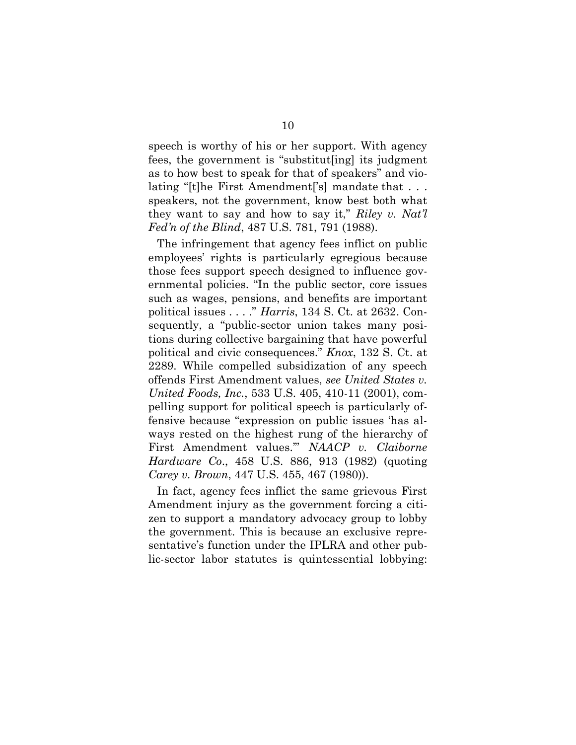speech is worthy of his or her support. With agency fees, the government is "substitut[ing] its judgment as to how best to speak for that of speakers" and violating "[t]he First Amendment['s] mandate that . . . speakers, not the government, know best both what they want to say and how to say it," *Riley v. Nat'l Fed'n of the Blind*, 487 U.S. 781, 791 (1988).

The infringement that agency fees inflict on public employees' rights is particularly egregious because those fees support speech designed to influence governmental policies. "In the public sector, core issues such as wages, pensions, and benefits are important political issues . . . ." *Harris*, 134 S. Ct. at 2632. Consequently, a "public-sector union takes many positions during collective bargaining that have powerful political and civic consequences." *Knox*, 132 S. Ct. at 2289. While compelled subsidization of any speech offends First Amendment values, *see United States v. United Foods, Inc.*, 533 U.S. 405, 410-11 (2001), compelling support for political speech is particularly offensive because "expression on public issues 'has always rested on the highest rung of the hierarchy of First Amendment values.'" *NAACP v. Claiborne Hardware Co*., 458 U.S. 886, 913 (1982) (quoting *Carey v. Brown*, 447 U.S. 455, 467 (1980)).

In fact, agency fees inflict the same grievous First Amendment injury as the government forcing a citizen to support a mandatory advocacy group to lobby the government. This is because an exclusive representative's function under the IPLRA and other public-sector labor statutes is quintessential lobbying: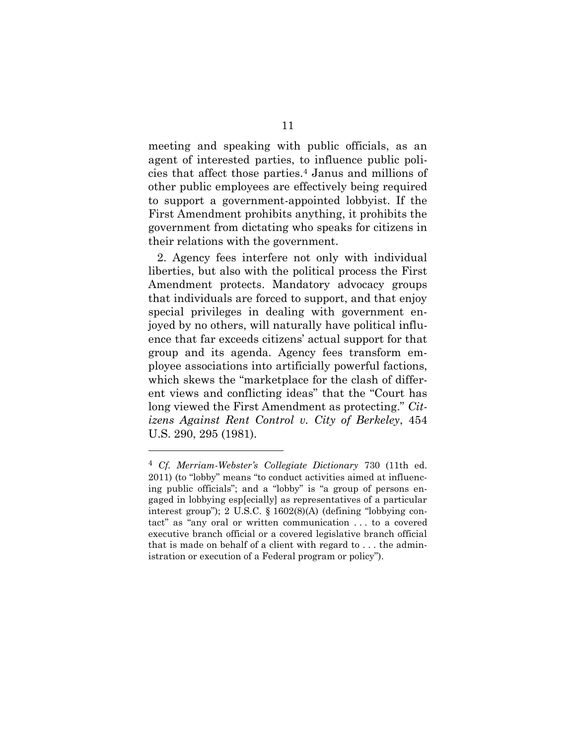meeting and speaking with public officials, as an agent of interested parties, to influence public policies that affect those parties.<sup>4</sup> Janus and millions of other public employees are effectively being required to support a government-appointed lobbyist. If the First Amendment prohibits anything, it prohibits the government from dictating who speaks for citizens in their relations with the government.

2. Agency fees interfere not only with individual liberties, but also with the political process the First Amendment protects. Mandatory advocacy groups that individuals are forced to support, and that enjoy special privileges in dealing with government enjoyed by no others, will naturally have political influence that far exceeds citizens' actual support for that group and its agenda. Agency fees transform employee associations into artificially powerful factions, which skews the "marketplace for the clash of different views and conflicting ideas" that the "Court has long viewed the First Amendment as protecting." *Citizens Against Rent Control v. City of Berkeley*, 454 U.S. 290, 295 (1981).

l

<sup>4</sup> *Cf. Merriam-Webster's Collegiate Dictionary* 730 (11th ed. 2011) (to "lobby" means "to conduct activities aimed at influencing public officials"; and a "lobby" is "a group of persons engaged in lobbying esp[ecially] as representatives of a particular interest group"); 2 U.S.C. § 1602(8)(A) (defining "lobbying contact" as "any oral or written communication . . . to a covered executive branch official or a covered legislative branch official that is made on behalf of a client with regard to . . . the administration or execution of a Federal program or policy").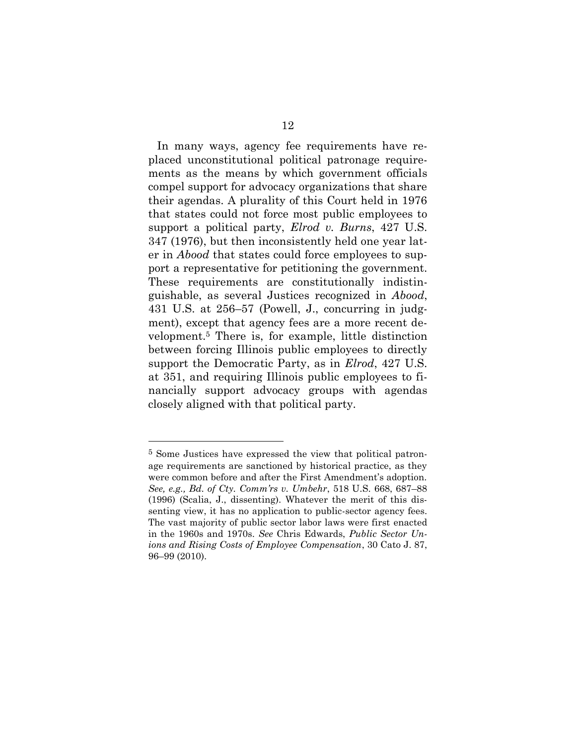In many ways, agency fee requirements have replaced unconstitutional political patronage requirements as the means by which government officials compel support for advocacy organizations that share their agendas. A plurality of this Court held in 1976 that states could not force most public employees to support a political party, *Elrod v. Burns*, 427 U.S. 347 (1976), but then inconsistently held one year later in *Abood* that states could force employees to support a representative for petitioning the government. These requirements are constitutionally indistinguishable, as several Justices recognized in *Abood*, 431 U.S. at 256–57 (Powell, J., concurring in judgment), except that agency fees are a more recent development.<sup>5</sup> There is, for example, little distinction between forcing Illinois public employees to directly support the Democratic Party, as in *Elrod*, 427 U.S. at 351, and requiring Illinois public employees to financially support advocacy groups with agendas closely aligned with that political party.

<sup>5</sup> Some Justices have expressed the view that political patronage requirements are sanctioned by historical practice, as they were common before and after the First Amendment's adoption. *See, e.g., Bd. of Cty. Comm'rs v. Umbehr*, 518 U.S. 668, 687–88 (1996) (Scalia, J., dissenting). Whatever the merit of this dissenting view, it has no application to public-sector agency fees. The vast majority of public sector labor laws were first enacted in the 1960s and 1970s. *See* Chris Edwards, *Public Sector Unions and Rising Costs of Employee Compensation*, 30 Cato J. 87, 96–99 (2010).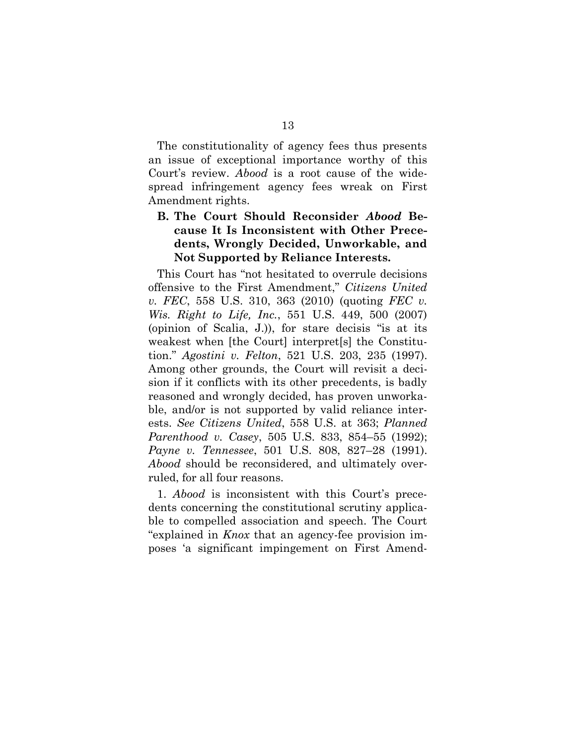The constitutionality of agency fees thus presents an issue of exceptional importance worthy of this Court's review. *Abood* is a root cause of the widespread infringement agency fees wreak on First Amendment rights.

### **B. The Court Should Reconsider** *Abood* **Because It Is Inconsistent with Other Precedents, Wrongly Decided, Unworkable, and Not Supported by Reliance Interests.**

This Court has "not hesitated to overrule decisions offensive to the First Amendment," *Citizens United v. FEC*, 558 U.S. 310, 363 (2010) (quoting *FEC v. Wis. Right to Life, Inc.*, 551 U.S. 449, 500 (2007) (opinion of Scalia, J.)), for stare decisis "is at its weakest when [the Court] interpret[s] the Constitution." *Agostini v. Felton*, 521 U.S. 203, 235 (1997). Among other grounds, the Court will revisit a decision if it conflicts with its other precedents, is badly reasoned and wrongly decided, has proven unworkable, and/or is not supported by valid reliance interests. *See Citizens United*, 558 U.S. at 363; *Planned Parenthood v. Casey*, 505 U.S. 833, 854–55 (1992); *Payne v. Tennessee*, 501 U.S. 808, 827–28 (1991). *Abood* should be reconsidered, and ultimately overruled, for all four reasons.

1. *Abood* is inconsistent with this Court's precedents concerning the constitutional scrutiny applicable to compelled association and speech. The Court "explained in *Knox* that an agency-fee provision imposes 'a significant impingement on First Amend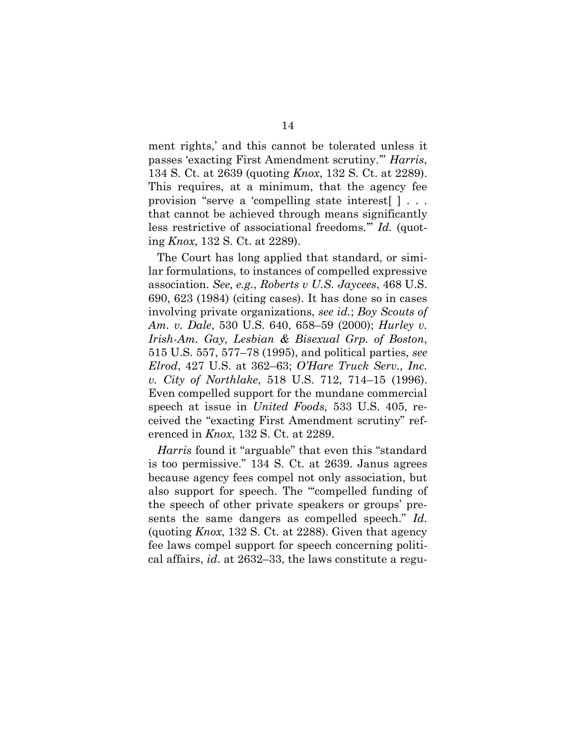ment rights,' and this cannot be tolerated unless it passes 'exacting First Amendment scrutiny.'" *Harris*, 134 S. Ct. at 2639 (quoting *Knox*, 132 S. Ct. at 2289). This requires, at a minimum, that the agency fee provision "serve a 'compelling state interest[ ] . . . that cannot be achieved through means significantly less restrictive of associational freedoms.'" *Id.* (quoting *Knox*, 132 S. Ct. at 2289).

The Court has long applied that standard, or similar formulations, to instances of compelled expressive association. *See, e.g.*, *Roberts v U.S. Jaycees*, 468 U.S. 690, 623 (1984) (citing cases). It has done so in cases involving private organizations, *see id.*; *Boy Scouts of Am. v. Dale*, 530 U.S. 640, 658–59 (2000); *Hurley v. Irish-Am. Gay, Lesbian & Bisexual Grp. of Boston*, 515 U.S. 557, 577–78 (1995), and political parties, *see Elrod*, 427 U.S. at 362–63; *O'Hare Truck Serv., Inc. v. City of Northlake*, 518 U.S. 712, 714–15 (1996). Even compelled support for the mundane commercial speech at issue in *United Foods,* 533 U.S. 405, received the "exacting First Amendment scrutiny" referenced in *Knox*, 132 S. Ct. at 2289.

*Harris* found it "arguable" that even this "standard is too permissive." 134 S. Ct. at 2639. Janus agrees because agency fees compel not only association, but also support for speech. The "'compelled funding of the speech of other private speakers or groups' presents the same dangers as compelled speech." *Id*. (quoting *Knox*, 132 S. Ct. at 2288). Given that agency fee laws compel support for speech concerning political affairs, *id*. at 2632–33, the laws constitute a regu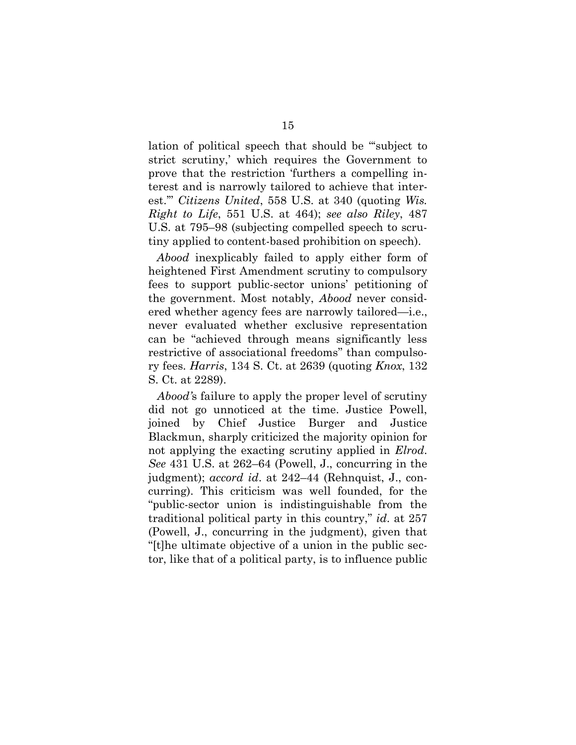lation of political speech that should be "'subject to strict scrutiny,' which requires the Government to prove that the restriction 'furthers a compelling interest and is narrowly tailored to achieve that interest.'" *Citizens United*, 558 U.S. at 340 (quoting *Wis. Right to Life*, 551 U.S. at 464); *see also Riley*, 487 U.S. at 795–98 (subjecting compelled speech to scrutiny applied to content-based prohibition on speech).

*Abood* inexplicably failed to apply either form of heightened First Amendment scrutiny to compulsory fees to support public-sector unions' petitioning of the government. Most notably, *Abood* never considered whether agency fees are narrowly tailored—i.e., never evaluated whether exclusive representation can be "achieved through means significantly less restrictive of associational freedoms" than compulsory fees. *Harris*, 134 S. Ct. at 2639 (quoting *Knox*, 132 S. Ct. at 2289).

*Abood'*s failure to apply the proper level of scrutiny did not go unnoticed at the time. Justice Powell, joined by Chief Justice Burger and Justice Blackmun, sharply criticized the majority opinion for not applying the exacting scrutiny applied in *Elrod*. *See* 431 U.S. at 262–64 (Powell, J., concurring in the judgment); *accord id*. at 242–44 (Rehnquist, J., concurring). This criticism was well founded, for the "public-sector union is indistinguishable from the traditional political party in this country," *id*. at 257 (Powell, J., concurring in the judgment), given that "[t]he ultimate objective of a union in the public sector, like that of a political party, is to influence public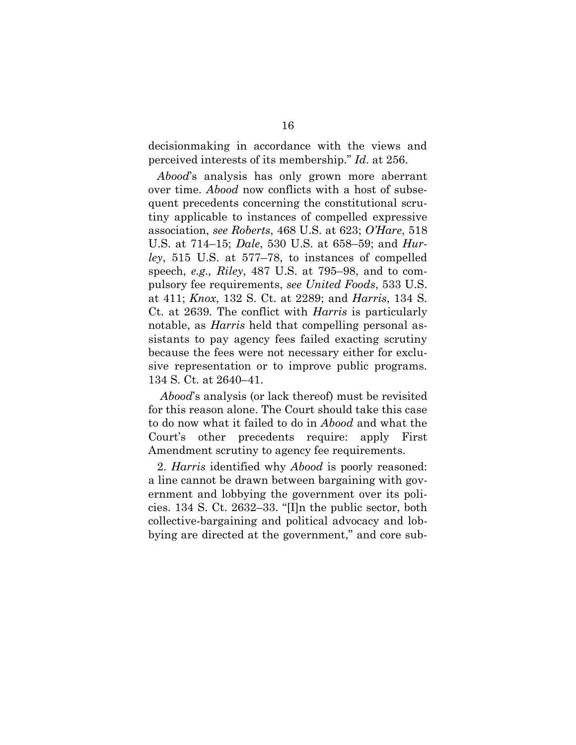decisionmaking in accordance with the views and perceived interests of its membership." *Id*. at 256.

*Abood*'s analysis has only grown more aberrant over time. *Abood* now conflicts with a host of subsequent precedents concerning the constitutional scrutiny applicable to instances of compelled expressive association, *see Roberts*, 468 U.S. at 623; *O'Hare*, 518 U.S. at 714–15; *Dale*, 530 U.S. at 658–59; and *Hurley*, 515 U.S. at 577–78, to instances of compelled speech, *e.g., Riley*, 487 U.S. at 795–98, and to compulsory fee requirements, *see United Foods*, 533 U.S. at 411; *Knox*, 132 S. Ct. at 2289; and *Harris*, 134 S. Ct. at 2639*.* The conflict with *Harris* is particularly notable, as *Harris* held that compelling personal assistants to pay agency fees failed exacting scrutiny because the fees were not necessary either for exclusive representation or to improve public programs. 134 S. Ct. at 2640–41.

*Abood*'s analysis (or lack thereof) must be revisited for this reason alone. The Court should take this case to do now what it failed to do in *Abood* and what the Court's other precedents require: apply First Amendment scrutiny to agency fee requirements.

2. *Harris* identified why *Abood* is poorly reasoned: a line cannot be drawn between bargaining with government and lobbying the government over its policies. 134 S. Ct. 2632–33. "[I]n the public sector, both collective-bargaining and political advocacy and lobbying are directed at the government," and core sub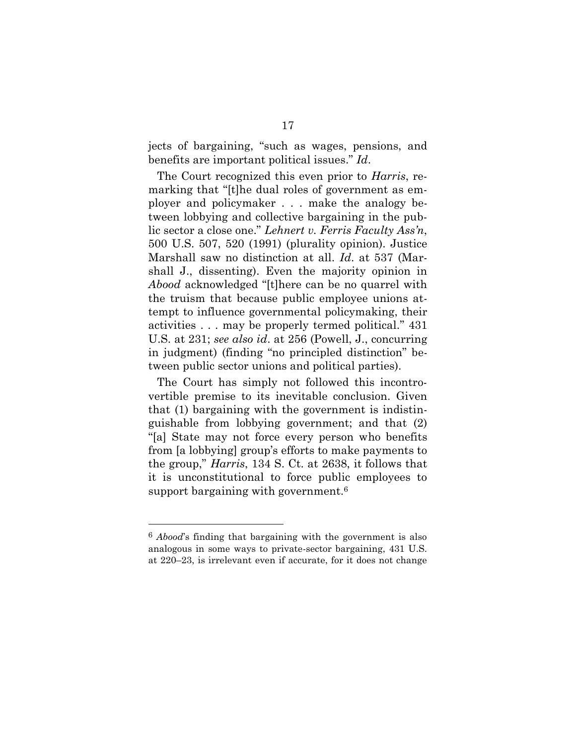jects of bargaining, "such as wages, pensions, and benefits are important political issues." *Id*.

The Court recognized this even prior to *Harris*, remarking that "[t]he dual roles of government as employer and policymaker . . . make the analogy between lobbying and collective bargaining in the public sector a close one." *Lehnert v. Ferris Faculty Ass'n*, 500 U.S. 507, 520 (1991) (plurality opinion). Justice Marshall saw no distinction at all. *Id*. at 537 (Marshall J., dissenting). Even the majority opinion in *Abood* acknowledged "[t]here can be no quarrel with the truism that because public employee unions attempt to influence governmental policymaking, their activities . . . may be properly termed political." 431 U.S. at 231; *see also id*. at 256 (Powell, J., concurring in judgment) (finding "no principled distinction" between public sector unions and political parties).

The Court has simply not followed this incontrovertible premise to its inevitable conclusion. Given that (1) bargaining with the government is indistinguishable from lobbying government; and that (2) "[a] State may not force every person who benefits from [a lobbying] group's efforts to make payments to the group," *Harris*, 134 S. Ct. at 2638, it follows that it is unconstitutional to force public employees to support bargaining with government.<sup>6</sup>

<sup>6</sup> *Abood*'s finding that bargaining with the government is also analogous in some ways to private-sector bargaining, 431 U.S. at 220–23, is irrelevant even if accurate, for it does not change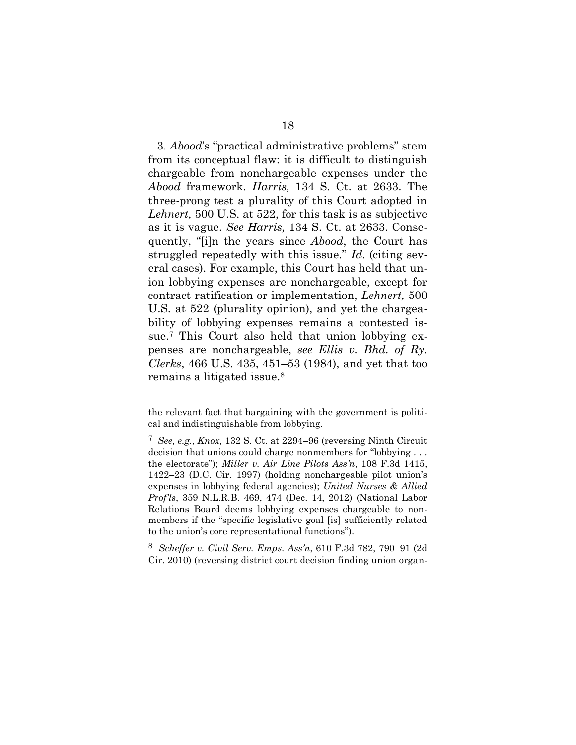3. *Abood*'s "practical administrative problems" stem from its conceptual flaw: it is difficult to distinguish chargeable from nonchargeable expenses under the *Abood* framework. *Harris,* 134 S. Ct. at 2633. The three-prong test a plurality of this Court adopted in *Lehnert,* 500 U.S. at 522, for this task is as subjective as it is vague. *See Harris,* 134 S. Ct. at 2633. Consequently, "[i]n the years since *Abood*, the Court has struggled repeatedly with this issue." *Id*. (citing several cases). For example, this Court has held that union lobbying expenses are nonchargeable, except for contract ratification or implementation, *Lehnert,* 500 U.S. at 522 (plurality opinion), and yet the chargeability of lobbying expenses remains a contested issue.<sup>7</sup> This Court also held that union lobbying expenses are nonchargeable, *see Ellis v. Bhd. of Ry. Clerks*, 466 U.S. 435, 451–53 (1984), and yet that too remains a litigated issue.<sup>8</sup>

l

8 *Scheffer v. Civil Serv. Emps. Ass'n*, 610 F.3d 782, 790–91 (2d Cir. 2010) (reversing district court decision finding union organ-

the relevant fact that bargaining with the government is political and indistinguishable from lobbying.

<sup>7</sup> *See, e.g., Knox,* 132 S. Ct. at 2294–96 (reversing Ninth Circuit decision that unions could charge nonmembers for "lobbying . . . the electorate"); *Miller v. Air Line Pilots Ass'n*, 108 F.3d 1415, 1422–23 (D.C. Cir. 1997) (holding nonchargeable pilot union's expenses in lobbying federal agencies); *United Nurses & Allied Prof'ls*, 359 N.L.R.B. 469, 474 (Dec. 14, 2012) (National Labor Relations Board deems lobbying expenses chargeable to nonmembers if the "specific legislative goal [is] sufficiently related to the union's core representational functions").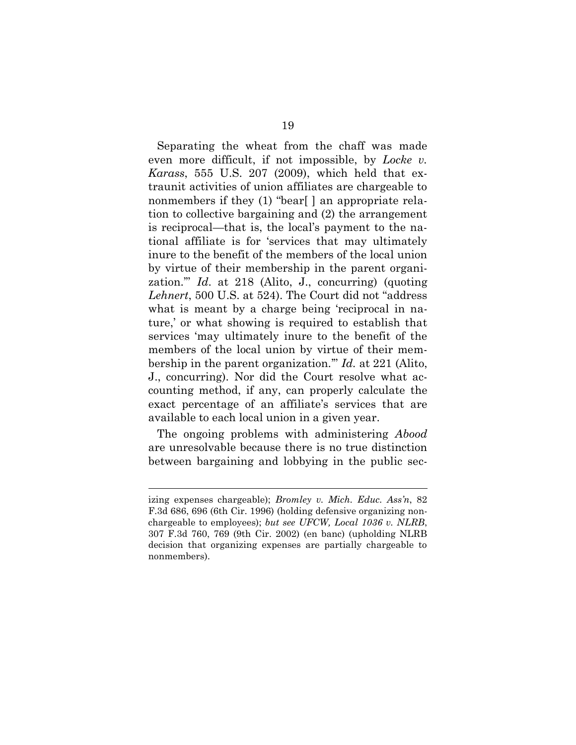Separating the wheat from the chaff was made even more difficult, if not impossible, by *Locke v. Karass*, 555 U.S. 207 (2009), which held that extraunit activities of union affiliates are chargeable to nonmembers if they (1) "bear[ ] an appropriate relation to collective bargaining and (2) the arrangement is reciprocal—that is, the local's payment to the national affiliate is for 'services that may ultimately inure to the benefit of the members of the local union by virtue of their membership in the parent organization.'" *Id*. at 218 (Alito, J., concurring) (quoting *Lehnert*, 500 U.S. at 524). The Court did not "address what is meant by a charge being 'reciprocal in nature,' or what showing is required to establish that services 'may ultimately inure to the benefit of the members of the local union by virtue of their membership in the parent organization.'" *Id.* at 221 (Alito, J., concurring). Nor did the Court resolve what accounting method, if any, can properly calculate the exact percentage of an affiliate's services that are available to each local union in a given year.

The ongoing problems with administering *Abood* are unresolvable because there is no true distinction between bargaining and lobbying in the public sec-

l

izing expenses chargeable); *Bromley v. Mich. Educ. Ass'n*, 82 F.3d 686, 696 (6th Cir. 1996) (holding defensive organizing nonchargeable to employees); *but see UFCW, Local 1036 v. NLRB*, 307 F.3d 760, 769 (9th Cir. 2002) (en banc) (upholding NLRB decision that organizing expenses are partially chargeable to nonmembers).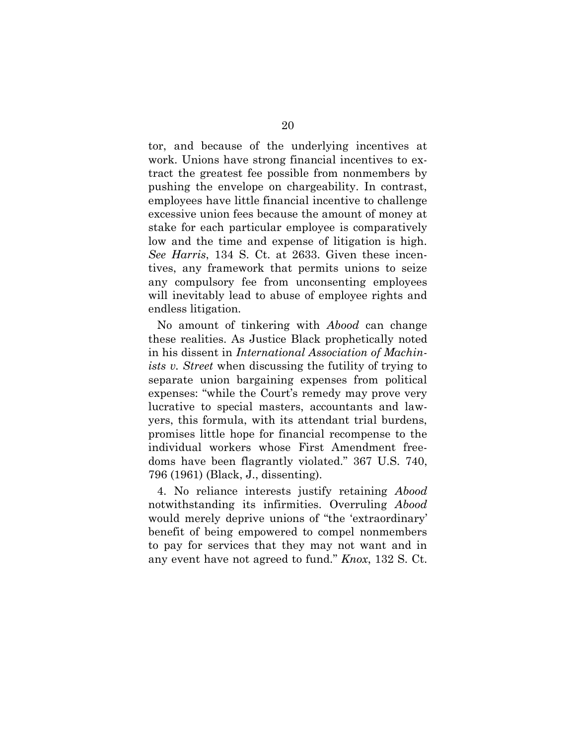tor, and because of the underlying incentives at work. Unions have strong financial incentives to extract the greatest fee possible from nonmembers by pushing the envelope on chargeability. In contrast, employees have little financial incentive to challenge excessive union fees because the amount of money at stake for each particular employee is comparatively low and the time and expense of litigation is high. *See Harris*, 134 S. Ct. at 2633. Given these incentives, any framework that permits unions to seize any compulsory fee from unconsenting employees will inevitably lead to abuse of employee rights and endless litigation.

No amount of tinkering with *Abood* can change these realities. As Justice Black prophetically noted in his dissent in *International Association of Machinists v. Street* when discussing the futility of trying to separate union bargaining expenses from political expenses: "while the Court's remedy may prove very lucrative to special masters, accountants and lawyers, this formula, with its attendant trial burdens, promises little hope for financial recompense to the individual workers whose First Amendment freedoms have been flagrantly violated." 367 U.S. 740, 796 (1961) (Black, J., dissenting).

4. No reliance interests justify retaining *Abood* notwithstanding its infirmities. Overruling *Abood* would merely deprive unions of "the 'extraordinary' benefit of being empowered to compel nonmembers to pay for services that they may not want and in any event have not agreed to fund." *Knox*, 132 S. Ct.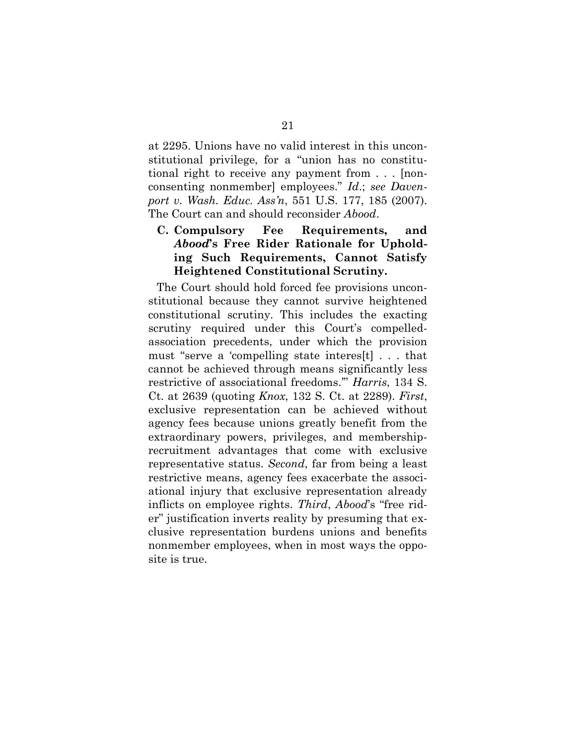at 2295. Unions have no valid interest in this unconstitutional privilege, for a "union has no constitutional right to receive any payment from . . . [nonconsenting nonmember] employees." *Id*.; *see Davenport v. Wash. Educ. Ass'n*, 551 U.S. 177, 185 (2007). The Court can and should reconsider *Abood*.

**C. Compulsory Fee Requirements, and** *Abood***'s Free Rider Rationale for Upholding Such Requirements, Cannot Satisfy Heightened Constitutional Scrutiny.**

The Court should hold forced fee provisions unconstitutional because they cannot survive heightened constitutional scrutiny. This includes the exacting scrutiny required under this Court's compelledassociation precedents, under which the provision must "serve a 'compelling state interes[t] . . . that cannot be achieved through means significantly less restrictive of associational freedoms.'" *Harris*, 134 S. Ct. at 2639 (quoting *Knox*, 132 S. Ct. at 2289). *First*, exclusive representation can be achieved without agency fees because unions greatly benefit from the extraordinary powers, privileges, and membershiprecruitment advantages that come with exclusive representative status. *Second*, far from being a least restrictive means, agency fees exacerbate the associational injury that exclusive representation already inflicts on employee rights. *Third*, *Abood*'s "free rider" justification inverts reality by presuming that exclusive representation burdens unions and benefits nonmember employees, when in most ways the opposite is true.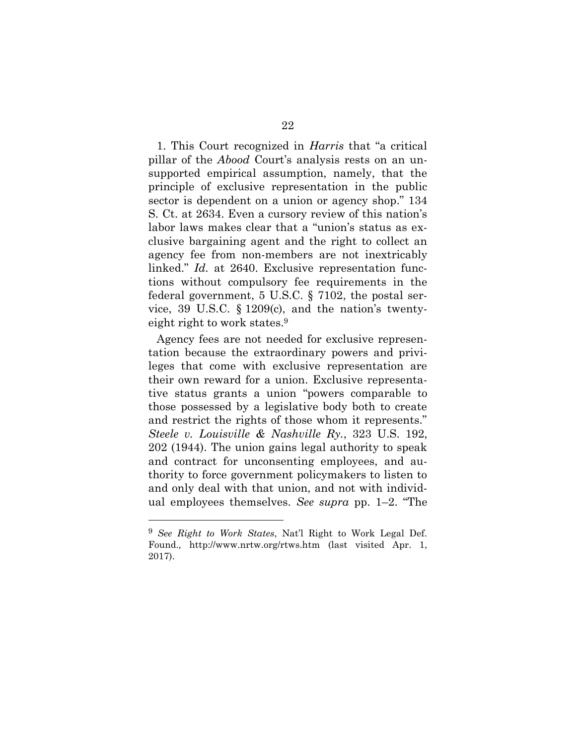1. This Court recognized in *Harris* that "a critical pillar of the *Abood* Court's analysis rests on an unsupported empirical assumption, namely, that the principle of exclusive representation in the public sector is dependent on a union or agency shop." 134 S. Ct. at 2634. Even a cursory review of this nation's labor laws makes clear that a "union's status as exclusive bargaining agent and the right to collect an agency fee from non-members are not inextricably linked." *Id.* at 2640. Exclusive representation functions without compulsory fee requirements in the federal government, 5 U.S.C. § 7102, the postal service, 39 U.S.C. § 1209(c), and the nation's twentyeight right to work states.<sup>9</sup>

Agency fees are not needed for exclusive representation because the extraordinary powers and privileges that come with exclusive representation are their own reward for a union. Exclusive representative status grants a union "powers comparable to those possessed by a legislative body both to create and restrict the rights of those whom it represents." *Steele v. Louisville & Nashville Ry.*, 323 U.S. 192, 202 (1944). The union gains legal authority to speak and contract for unconsenting employees, and authority to force government policymakers to listen to and only deal with that union, and not with individual employees themselves. *See supra* pp. 1–2. "The

l

<sup>9</sup> *See Right to Work States*, Nat'l Right to Work Legal Def. Found.*,* http://www.nrtw.org/rtws.htm (last visited Apr. 1, 2017).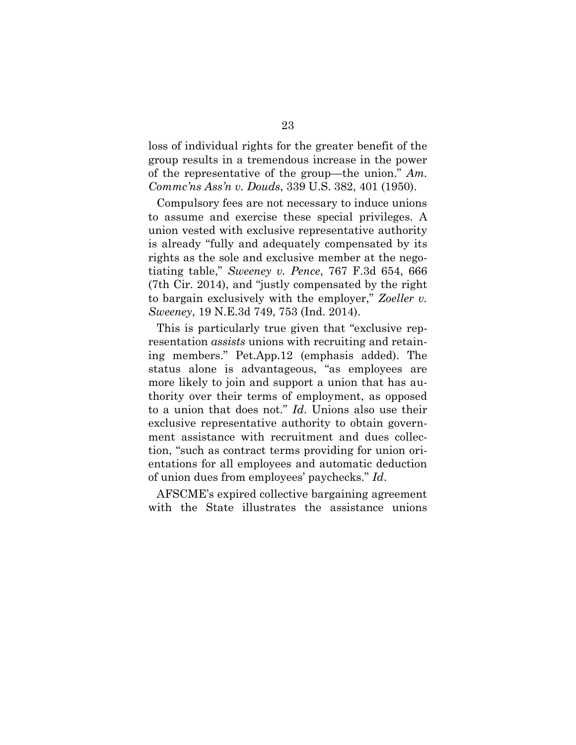loss of individual rights for the greater benefit of the group results in a tremendous increase in the power of the representative of the group—the union." *Am. Commc'ns Ass'n v. Douds*, 339 U.S. 382, 401 (1950).

Compulsory fees are not necessary to induce unions to assume and exercise these special privileges. A union vested with exclusive representative authority is already "fully and adequately compensated by its rights as the sole and exclusive member at the negotiating table," *Sweeney v. Pence*, 767 F.3d 654, 666 (7th Cir. 2014), and "justly compensated by the right to bargain exclusively with the employer," *Zoeller v. Sweeney*, 19 N.E.3d 749, 753 (Ind. 2014).

This is particularly true given that "exclusive representation *assists* unions with recruiting and retaining members." Pet.App.12 (emphasis added). The status alone is advantageous, "as employees are more likely to join and support a union that has authority over their terms of employment, as opposed to a union that does not." *Id*. Unions also use their exclusive representative authority to obtain government assistance with recruitment and dues collection, "such as contract terms providing for union orientations for all employees and automatic deduction of union dues from employees' paychecks." *Id*.

AFSCME's expired collective bargaining agreement with the State illustrates the assistance unions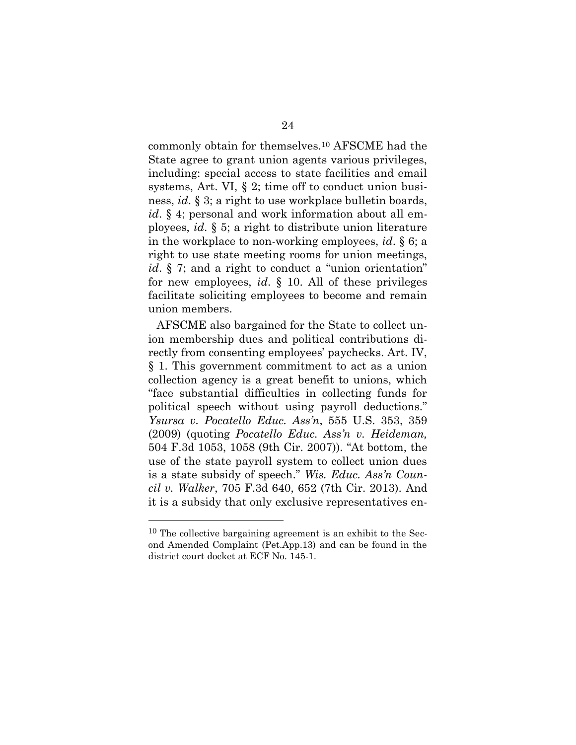commonly obtain for themselves.<sup>10</sup> AFSCME had the State agree to grant union agents various privileges, including: special access to state facilities and email systems, Art. VI, § 2; time off to conduct union business, *id*. § 3; a right to use workplace bulletin boards, *id*. § 4; personal and work information about all employees, *id*. § 5; a right to distribute union literature in the workplace to non-working employees, *id*. § 6; a right to use state meeting rooms for union meetings, *id*. § 7; and a right to conduct a "union orientation" for new employees, *id*. § 10. All of these privileges facilitate soliciting employees to become and remain union members.

AFSCME also bargained for the State to collect union membership dues and political contributions directly from consenting employees' paychecks. Art. IV, § 1. This government commitment to act as a union collection agency is a great benefit to unions, which "face substantial difficulties in collecting funds for political speech without using payroll deductions." *Ysursa v. Pocatello Educ. Ass'n*, 555 U.S. 353, 359 (2009) (quoting *Pocatello Educ. Ass'n v. Heideman,*  504 F.3d 1053, 1058 (9th Cir. 2007)). "At bottom, the use of the state payroll system to collect union dues is a state subsidy of speech." *Wis. Educ. Ass'n Council v. Walker*, 705 F.3d 640, 652 (7th Cir. 2013). And it is a subsidy that only exclusive representatives en-

l

<sup>&</sup>lt;sup>10</sup> The collective bargaining agreement is an exhibit to the Second Amended Complaint (Pet.App.13) and can be found in the district court docket at ECF No. 145-1.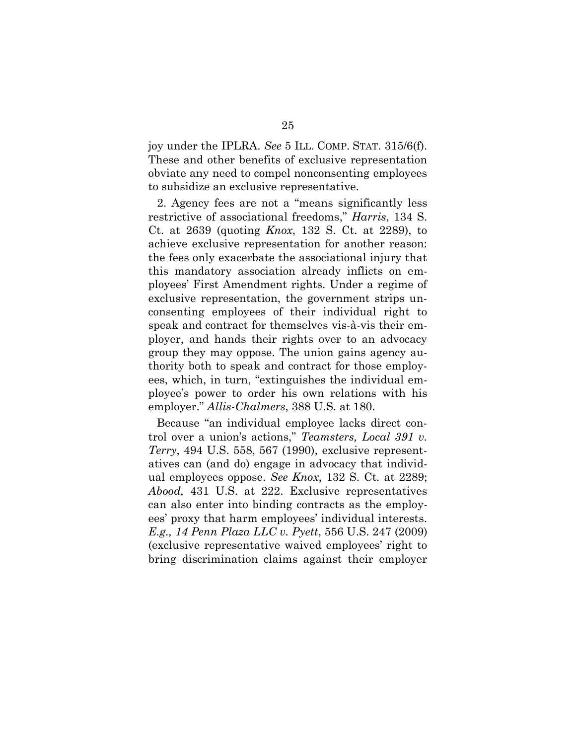joy under the IPLRA. *See* 5 ILL. COMP. STAT. 315/6(f). These and other benefits of exclusive representation obviate any need to compel nonconsenting employees to subsidize an exclusive representative.

2. Agency fees are not a "means significantly less restrictive of associational freedoms," *Harris*, 134 S. Ct. at 2639 (quoting *Knox*, 132 S. Ct. at 2289), to achieve exclusive representation for another reason: the fees only exacerbate the associational injury that this mandatory association already inflicts on employees' First Amendment rights. Under a regime of exclusive representation, the government strips unconsenting employees of their individual right to speak and contract for themselves vis-à-vis their employer, and hands their rights over to an advocacy group they may oppose. The union gains agency authority both to speak and contract for those employees, which, in turn, "extinguishes the individual employee's power to order his own relations with his employer." *Allis-Chalmers*, 388 U.S. at 180.

Because "an individual employee lacks direct control over a union's actions," *Teamsters, Local 391 v. Terry*, 494 U.S. 558, 567 (1990), exclusive representatives can (and do) engage in advocacy that individual employees oppose. *See Knox*, 132 S. Ct. at 2289; *Abood,* 431 U.S. at 222. Exclusive representatives can also enter into binding contracts as the employees' proxy that harm employees' individual interests. *E.g., 14 Penn Plaza LLC v. Pyett*, 556 U.S. 247 (2009) (exclusive representative waived employees' right to bring discrimination claims against their employer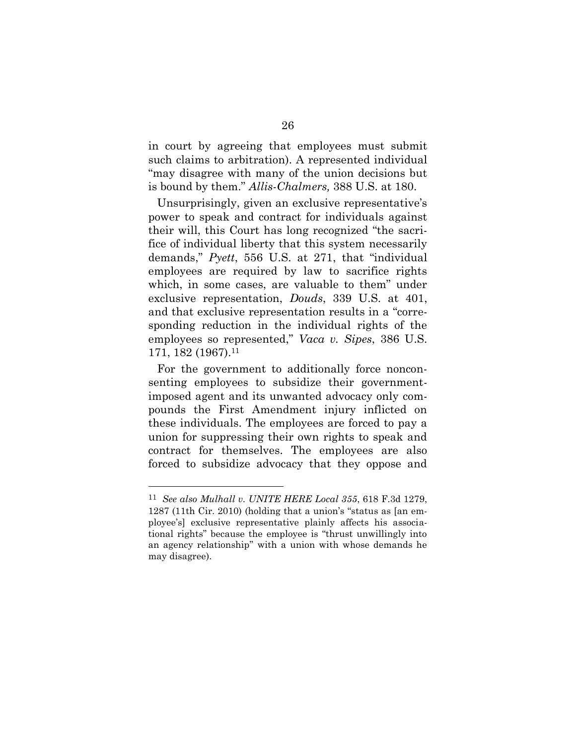in court by agreeing that employees must submit such claims to arbitration). A represented individual "may disagree with many of the union decisions but is bound by them." *Allis-Chalmers,* 388 U.S. at 180.

Unsurprisingly, given an exclusive representative's power to speak and contract for individuals against their will, this Court has long recognized "the sacrifice of individual liberty that this system necessarily demands," *Pyett*, 556 U.S. at 271, that "individual employees are required by law to sacrifice rights which, in some cases, are valuable to them" under exclusive representation, *Douds*, 339 U.S. at 401, and that exclusive representation results in a "corresponding reduction in the individual rights of the employees so represented," *Vaca v. Sipes*, 386 U.S. 171, 182 (1967). 11

For the government to additionally force nonconsenting employees to subsidize their governmentimposed agent and its unwanted advocacy only compounds the First Amendment injury inflicted on these individuals. The employees are forced to pay a union for suppressing their own rights to speak and contract for themselves. The employees are also forced to subsidize advocacy that they oppose and

<sup>11</sup> *See also Mulhall v. UNITE HERE Local 355*, 618 F.3d 1279, 1287 (11th Cir. 2010) (holding that a union's "status as [an employee's] exclusive representative plainly affects his associational rights" because the employee is "thrust unwillingly into an agency relationship" with a union with whose demands he may disagree).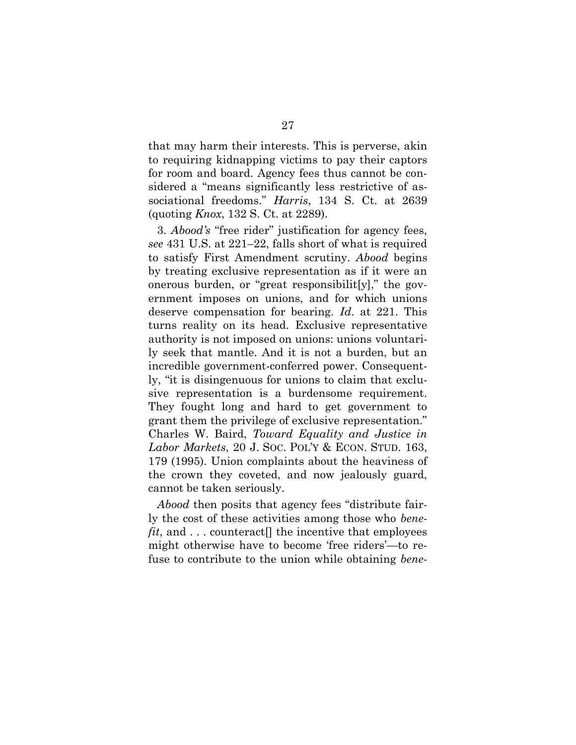that may harm their interests. This is perverse, akin to requiring kidnapping victims to pay their captors for room and board. Agency fees thus cannot be considered a "means significantly less restrictive of associational freedoms." *Harris*, 134 S. Ct. at 2639 (quoting *Knox*, 132 S. Ct. at 2289).

3. *Abood's* "free rider" justification for agency fees, *see* 431 U.S. at 221–22, falls short of what is required to satisfy First Amendment scrutiny. *Abood* begins by treating exclusive representation as if it were an onerous burden, or "great responsibilit[y]," the government imposes on unions, and for which unions deserve compensation for bearing. *Id*. at 221. This turns reality on its head. Exclusive representative authority is not imposed on unions: unions voluntarily seek that mantle. And it is not a burden, but an incredible government-conferred power. Consequently, "it is disingenuous for unions to claim that exclusive representation is a burdensome requirement. They fought long and hard to get government to grant them the privilege of exclusive representation." Charles W. Baird, *Toward Equality and Justice in Labor Markets*, 20 J. SOC. POL'Y & ECON. STUD. 163, 179 (1995). Union complaints about the heaviness of the crown they coveted, and now jealously guard, cannot be taken seriously.

*Abood* then posits that agency fees "distribute fairly the cost of these activities among those who *benefit*, and . . . counteract<sup>[]</sup> the incentive that employees might otherwise have to become 'free riders'—to refuse to contribute to the union while obtaining *bene-*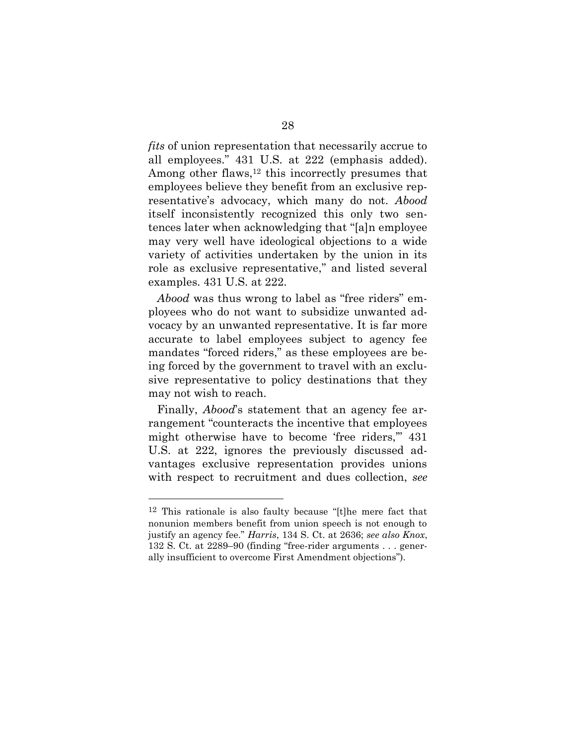*fits* of union representation that necessarily accrue to all employees." 431 U.S. at 222 (emphasis added). Among other flaws,<sup>12</sup> this incorrectly presumes that employees believe they benefit from an exclusive representative's advocacy, which many do not. *Abood* itself inconsistently recognized this only two sentences later when acknowledging that "[a]n employee may very well have ideological objections to a wide variety of activities undertaken by the union in its role as exclusive representative," and listed several examples. 431 U.S. at 222.

*Abood* was thus wrong to label as "free riders" employees who do not want to subsidize unwanted advocacy by an unwanted representative. It is far more accurate to label employees subject to agency fee mandates "forced riders," as these employees are being forced by the government to travel with an exclusive representative to policy destinations that they may not wish to reach.

Finally, *Abood*'s statement that an agency fee arrangement "counteracts the incentive that employees might otherwise have to become 'free riders,'" 431 U.S. at 222, ignores the previously discussed advantages exclusive representation provides unions with respect to recruitment and dues collection, *see* 

<sup>12</sup> This rationale is also faulty because "[t]he mere fact that nonunion members benefit from union speech is not enough to justify an agency fee." *Harris*, 134 S. Ct. at 2636; *see also Knox*, 132 S. Ct. at 2289–90 (finding "free-rider arguments . . . generally insufficient to overcome First Amendment objections").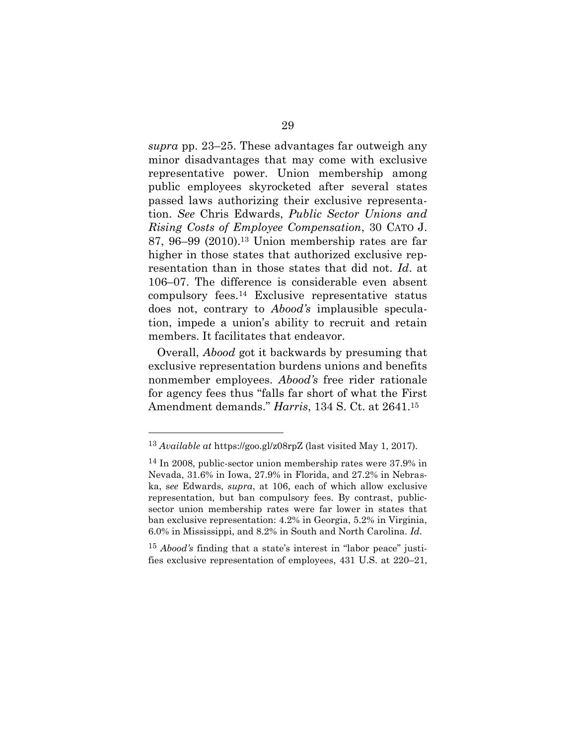*supra* pp. 23–25. These advantages far outweigh any minor disadvantages that may come with exclusive representative power. Union membership among public employees skyrocketed after several states passed laws authorizing their exclusive representation. *See* Chris Edwards, *Public Sector Unions and Rising Costs of Employee Compensation*, 30 CATO J. 87, 96–99 (2010).<sup>13</sup> Union membership rates are far higher in those states that authorized exclusive representation than in those states that did not. *Id*. at 106–07. The difference is considerable even absent compulsory fees.<sup>14</sup> Exclusive representative status does not, contrary to *Abood's* implausible speculation, impede a union's ability to recruit and retain members. It facilitates that endeavor.

Overall, *Abood* got it backwards by presuming that exclusive representation burdens unions and benefits nonmember employees. *Abood's* free rider rationale for agency fees thus "falls far short of what the First Amendment demands." *Harris*, 134 S. Ct. at 2641.<sup>15</sup>

<sup>13</sup> *Available at* https://goo.gl/z08rpZ (last visited May 1, 2017).

<sup>14</sup> In 2008, public-sector union membership rates were 37.9% in Nevada, 31.6% in Iowa, 27.9% in Florida, and 27.2% in Nebraska, s*ee* Edwards, *supra*, at 106, each of which allow exclusive representation, but ban compulsory fees. By contrast, publicsector union membership rates were far lower in states that ban exclusive representation: 4.2% in Georgia, 5.2% in Virginia, 6.0% in Mississippi, and 8.2% in South and North Carolina. *Id*.

<sup>15</sup> *Abood's* finding that a state's interest in "labor peace" justifies exclusive representation of employees, 431 U.S. at 220–21,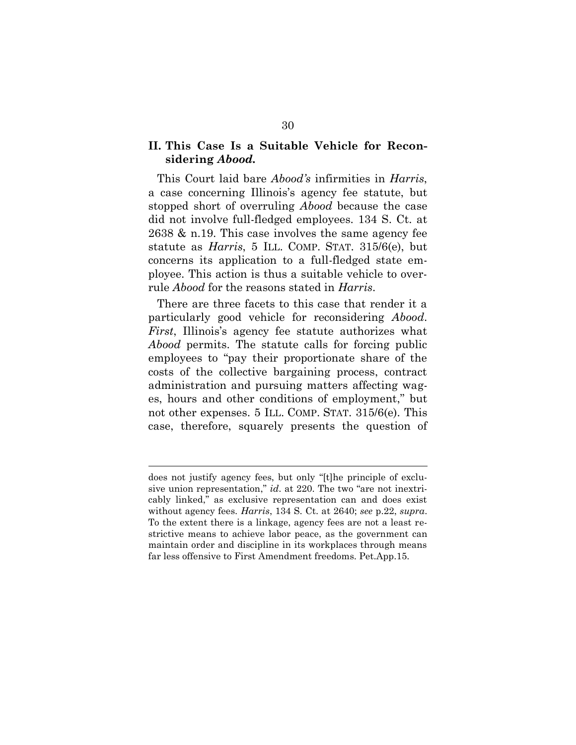#### **II. This Case Is a Suitable Vehicle for Reconsidering** *Abood.*

This Court laid bare *Abood's* infirmities in *Harris*, a case concerning Illinois's agency fee statute, but stopped short of overruling *Abood* because the case did not involve full-fledged employees. 134 S. Ct. at 2638 & n.19. This case involves the same agency fee statute as *Harris*, 5 ILL. COMP. STAT. 315/6(e), but concerns its application to a full-fledged state employee. This action is thus a suitable vehicle to overrule *Abood* for the reasons stated in *Harris*.

There are three facets to this case that render it a particularly good vehicle for reconsidering *Abood*. *First*, Illinois's agency fee statute authorizes what *Abood* permits. The statute calls for forcing public employees to "pay their proportionate share of the costs of the collective bargaining process, contract administration and pursuing matters affecting wages, hours and other conditions of employment," but not other expenses. 5 ILL. COMP. STAT. 315/6(e). This case, therefore, squarely presents the question of

does not justify agency fees, but only "[t]he principle of exclusive union representation," *id*. at 220. The two "are not inextricably linked," as exclusive representation can and does exist without agency fees. *Harris*, 134 S. Ct. at 2640; *see* p.22, *supra*. To the extent there is a linkage, agency fees are not a least restrictive means to achieve labor peace, as the government can maintain order and discipline in its workplaces through means far less offensive to First Amendment freedoms. Pet.App.15.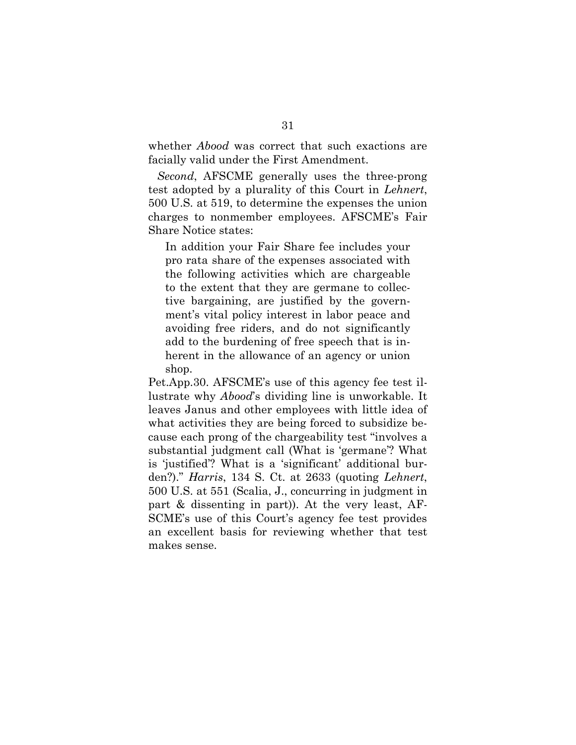whether *Abood* was correct that such exactions are facially valid under the First Amendment.

*Second*, AFSCME generally uses the three-prong test adopted by a plurality of this Court in *Lehnert*, 500 U.S. at 519, to determine the expenses the union charges to nonmember employees. AFSCME's Fair Share Notice states:

In addition your Fair Share fee includes your pro rata share of the expenses associated with the following activities which are chargeable to the extent that they are germane to collective bargaining, are justified by the government's vital policy interest in labor peace and avoiding free riders, and do not significantly add to the burdening of free speech that is inherent in the allowance of an agency or union shop.

Pet.App.30. AFSCME's use of this agency fee test illustrate why *Abood*'s dividing line is unworkable. It leaves Janus and other employees with little idea of what activities they are being forced to subsidize because each prong of the chargeability test "involves a substantial judgment call (What is 'germane'? What is 'justified'? What is a 'significant' additional burden?)." *Harris*, 134 S. Ct. at 2633 (quoting *Lehnert*, 500 U.S. at 551 (Scalia, J., concurring in judgment in part & dissenting in part)). At the very least, AF-SCME's use of this Court's agency fee test provides an excellent basis for reviewing whether that test makes sense.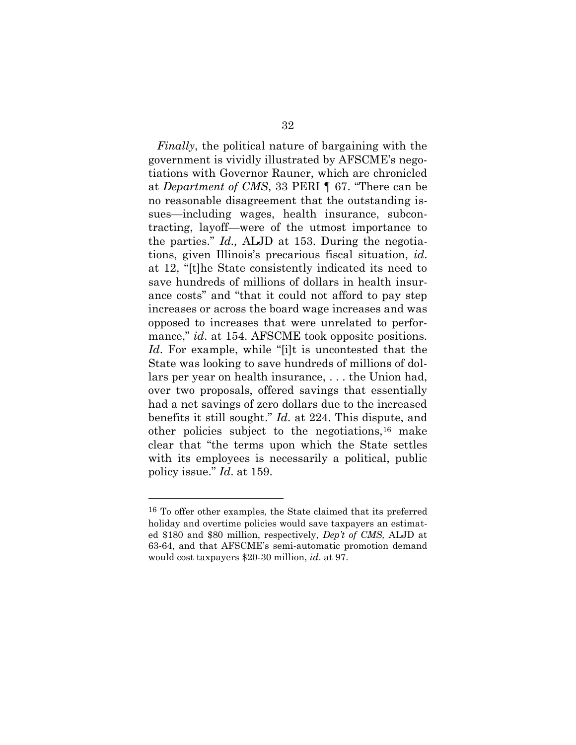*Finally*, the political nature of bargaining with the government is vividly illustrated by AFSCME's negotiations with Governor Rauner, which are chronicled at *Department of CMS*, 33 PERI ¶ 67. "There can be no reasonable disagreement that the outstanding issues—including wages, health insurance, subcontracting, layoff—were of the utmost importance to the parties." *Id.,* ALJD at 153. During the negotiations, given Illinois's precarious fiscal situation, *id*. at 12, "[t]he State consistently indicated its need to save hundreds of millions of dollars in health insurance costs" and "that it could not afford to pay step increases or across the board wage increases and was opposed to increases that were unrelated to performance," *id.* at 154. AFSCME took opposite positions. *Id*. For example, while "[i]t is uncontested that the State was looking to save hundreds of millions of dollars per year on health insurance, . . . the Union had, over two proposals, offered savings that essentially had a net savings of zero dollars due to the increased benefits it still sought." *Id*. at 224. This dispute, and other policies subject to the negotiations,  $16$  make clear that "the terms upon which the State settles with its employees is necessarily a political, public policy issue." *Id*. at 159.

<sup>16</sup> To offer other examples, the State claimed that its preferred holiday and overtime policies would save taxpayers an estimated \$180 and \$80 million, respectively, *Dep't of CMS,* ALJD at 63-64, and that AFSCME's semi-automatic promotion demand would cost taxpayers \$20-30 million, *id*. at 97.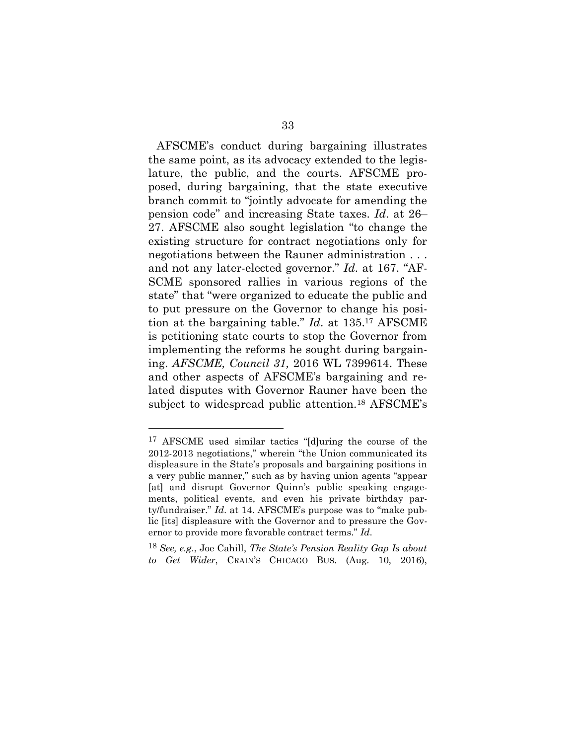AFSCME's conduct during bargaining illustrates the same point, as its advocacy extended to the legislature, the public, and the courts. AFSCME proposed, during bargaining, that the state executive branch commit to "jointly advocate for amending the pension code" and increasing State taxes. *Id*. at 26– 27. AFSCME also sought legislation "to change the existing structure for contract negotiations only for negotiations between the Rauner administration . . . and not any later-elected governor." *Id*. at 167. "AF-SCME sponsored rallies in various regions of the state" that "were organized to educate the public and to put pressure on the Governor to change his position at the bargaining table." *Id*. at 135. <sup>17</sup> AFSCME is petitioning state courts to stop the Governor from implementing the reforms he sought during bargaining. *AFSCME, Council 31,* 2016 WL 7399614. These and other aspects of AFSCME's bargaining and related disputes with Governor Rauner have been the subject to widespread public attention.<sup>18</sup> AFSCME's

<sup>17</sup> AFSCME used similar tactics "[d]uring the course of the 2012-2013 negotiations," wherein "the Union communicated its displeasure in the State's proposals and bargaining positions in a very public manner," such as by having union agents "appear [at] and disrupt Governor Quinn's public speaking engagements, political events, and even his private birthday party/fundraiser." *Id*. at 14. AFSCME's purpose was to "make public [its] displeasure with the Governor and to pressure the Governor to provide more favorable contract terms." *Id*.

<sup>18</sup> *See, e.g*., Joe Cahill, *The State's Pension Reality Gap Is about to Get Wider*, CRAIN'S CHICAGO BUS. (Aug. 10, 2016),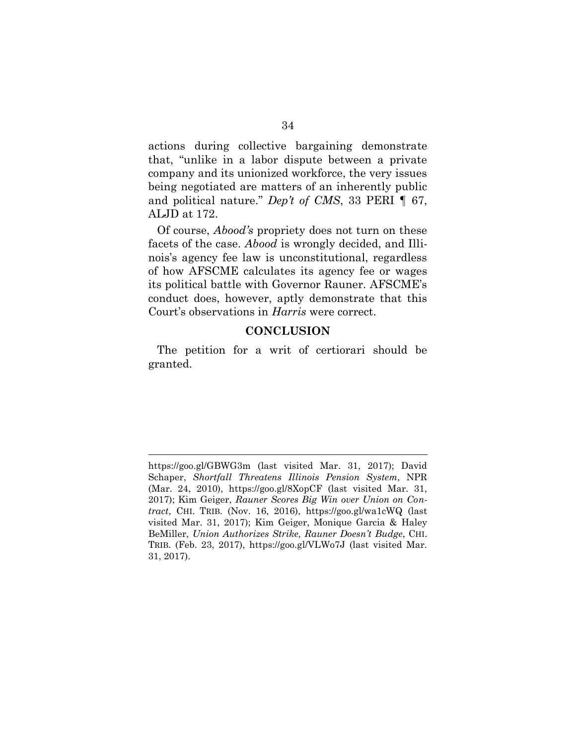actions during collective bargaining demonstrate that, "unlike in a labor dispute between a private company and its unionized workforce, the very issues being negotiated are matters of an inherently public and political nature." *Dep't of CMS*, 33 PERI ¶ 67, ALJD at 172.

Of course, *Abood's* propriety does not turn on these facets of the case. *Abood* is wrongly decided, and Illinois's agency fee law is unconstitutional, regardless of how AFSCME calculates its agency fee or wages its political battle with Governor Rauner. AFSCME's conduct does, however, aptly demonstrate that this Court's observations in *Harris* were correct.

#### **CONCLUSION**

The petition for a writ of certiorari should be granted.

 https://goo.gl/GBWG3m (last visited Mar. 31, 2017); David Schaper, *Shortfall Threatens Illinois Pension System*, NPR (Mar. 24, 2010), https://goo.gl/8XopCF (last visited Mar. 31, 2017); Kim Geiger, *Rauner Scores Big Win over Union on Contract*, CHI. TRIB. (Nov. 16, 2016), https://goo.gl/wa1cWQ (last visited Mar. 31, 2017); Kim Geiger, Monique Garcia & Haley BeMiller, *Union Authorizes Strike, Rauner Doesn't Budge*, CHI. TRIB. (Feb. 23, 2017), https://goo.gl/VLWo7J (last visited Mar. 31, 2017).